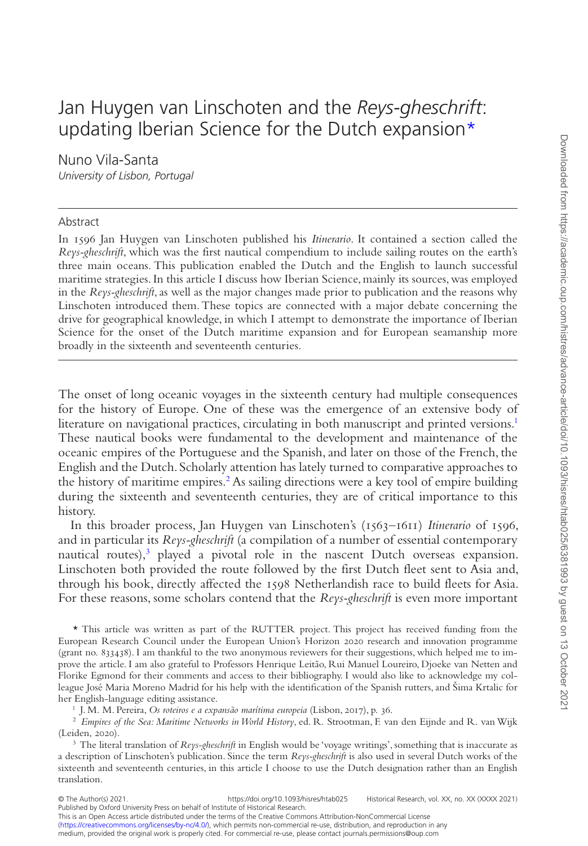## Jan Huygen van Linschoten and the *Reys-gheschrift*: updating Iberian Science for the Dutch expansion\*

Nuno Vila-Santa *University of Lisbon, Portugal*

## Abstract

 $\overline{a}$ 

In 1596 Jan Huygen van Linschoten published his *Itinerario*. It contained a section called the *Reys-gheschrift*, which was the first nautical compendium to include sailing routes on the earth's three main oceans. This publication enabled the Dutch and the English to launch successful maritime strategies. In this article I discuss how Iberian Science, mainly its sources, was employed in the *Reys-gheschrift*, as well as the major changes made prior to publication and the reasons why Linschoten introduced them. These topics are connected with a major debate concerning the drive for geographical knowledge, in which I attempt to demonstrate the importance of Iberian Science for the onset of the Dutch maritime expansion and for European seamanship more broadly in the sixteenth and seventeenth centuries.

The onset of long oceanic voyages in the sixteenth century had multiple consequences for the history of Europe. One of these was the emergence of an extensive body of literature on navigational practices, circulating in both manuscript and printed versions[.1](#page-0-0) These nautical books were fundamental to the development and maintenance of the oceanic empires of the Portuguese and the Spanish, and later on those of the French, the English and the Dutch. Scholarly attention has lately turned to comparative approaches to the history of maritime empires.<sup>2</sup> As sailing directions were a key tool of empire building during the sixteenth and seventeenth centuries, they are of critical importance to this history.

In this broader process, Jan Huygen van Linschoten's (1563–1611) *Itinerario* of 1596, and in particular its *Reys-gheschrift* (a compilation of a number of essential contemporary nautical routes),<sup>3</sup> played a pivotal role in the nascent Dutch overseas expansion. Linschoten both provided the route followed by the first Dutch fleet sent to Asia and, through his book, directly affected the 1598 Netherlandish race to build fleets for Asia. For these reasons, some scholars contend that the *Reys-gheschrift* is even more important

\* This article was written as part of the RUTTER project. This project has received funding from the European Research Council under the European Union's Horizon 2020 research and innovation programme (grant no. 833438). I am thankful to the two anonymous reviewers for their suggestions, which helped me to improve the article. I am also grateful to Professors Henrique Leitão, Rui Manuel Loureiro, Djoeke van Netten and Florike Egmond for their comments and access to their bibliography. I would also like to acknowledge my colleague José Maria Moreno Madrid for his help with the identification of the Spanish rutters, and Šima Krtalic for her English-language editing assistance.

<span id="page-0-1"></span><span id="page-0-0"></span><sup>1</sup> J. M. M. Pereira, *Os roteiros e a expansão marítima europeia* (Lisbon, 2017), p. 36.

<sup>2</sup> *Empires of the Sea: Maritime Networks in World History*, ed. R. Strootman, F. van den Eijnde and R. van Wijk (Leiden, 2020).

<span id="page-0-2"></span><sup>3</sup> The literal translation of *Reys-gheschrift* in English would be 'voyage writings', something that is inaccurate as a description of Linschoten's publication. Since the term *Reys-gheschrift* is also used in several Dutch works of the sixteenth and seventeenth centuries, in this article I choose to use the Dutch designation rather than an English translation.

This is an Open Access article distributed under the terms of the Creative Commons Attribution-NonCommercial License ([https://creativecommons.org/licenses/by-nc/4.0/\)](https://creativecommons.org/licenses/by-nc/4.0/), which permits non-commercial re-use, distribution, and reproduction in any medium, provided the original work is properly cited. For commercial re-use, please contact journals.permissions@oup.com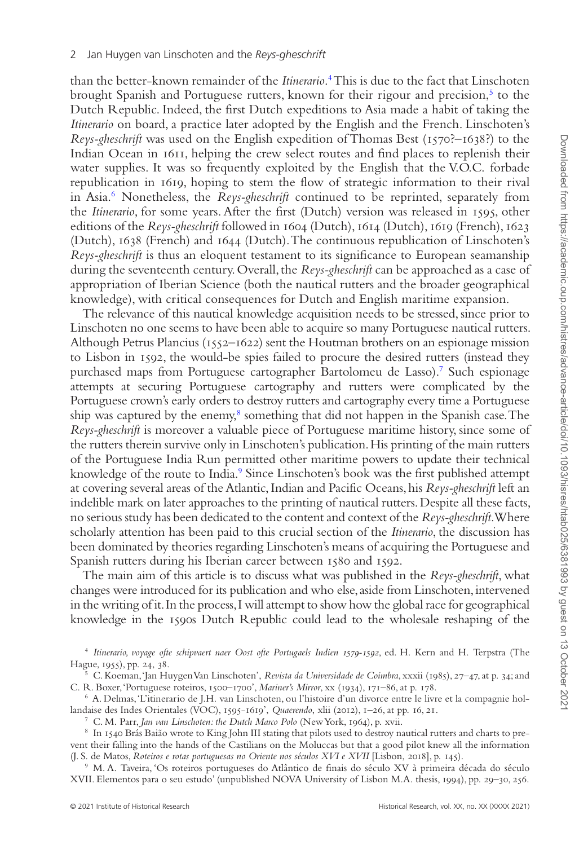than the better-known remainder of the *Itinerario*. [4](#page-1-0) This is due to the fact that Linschoten brought Spanish and Portuguese rutters, known for their rigour and precision,<sup>5</sup> to the Dutch Republic. Indeed, the first Dutch expeditions to Asia made a habit of taking the *Itinerario* on board, a practice later adopted by the English and the French. Linschoten's *Reys-gheschrift* was used on the English expedition of Thomas Best (1570?–1638?) to the Indian Ocean in 1611, helping the crew select routes and find places to replenish their water supplies. It was so frequently exploited by the English that the V.O.C. forbade republication in 1619, hoping to stem the flow of strategic information to their rival in Asia.[6](#page-1-2) Nonetheless, the *Reys-gheschrift* continued to be reprinted, separately from the *Itinerario*, for some years. After the first (Dutch) version was released in 1595, other editions of the *Reys-gheschrift* followed in 1604 (Dutch), 1614 (Dutch), 1619 (French), 1623 (Dutch), 1638 (French) and 1644 (Dutch). The continuous republication of Linschoten's *Reys-gheschrift* is thus an eloquent testament to its significance to European seamanship during the seventeenth century. Overall, the *Reys-gheschrift* can be approached as a case of appropriation of Iberian Science (both the nautical rutters and the broader geographical knowledge), with critical consequences for Dutch and English maritime expansion.

The relevance of this nautical knowledge acquisition needs to be stressed, since prior to Linschoten no one seems to have been able to acquire so many Portuguese nautical rutters. Although Petrus Plancius (1552–1622) sent the Houtman brothers on an espionage mission to Lisbon in 1592, the would-be spies failed to procure the desired rutters (instead they purchased maps from Portuguese cartographer Bartolomeu de Lasso)[.7](#page-1-3) Such espionage attempts at securing Portuguese cartography and rutters were complicated by the Portuguese crown's early orders to destroy rutters and cartography every time a Portuguese ship was captured by the enemy,<sup>8</sup> something that did not happen in the Spanish case. The *Reys-gheschrift* is moreover a valuable piece of Portuguese maritime history, since some of the rutters therein survive only in Linschoten's publication. His printing of the main rutters of the Portuguese India Run permitted other maritime powers to update their technical knowledge of the route to India.<sup>9</sup> Since Linschoten's book was the first published attempt at covering several areas of the Atlantic, Indian and Pacific Oceans, his *Reys-gheschrift* left an indelible mark on later approaches to the printing of nautical rutters. Despite all these facts, no serious study has been dedicated to the content and context of the *Reys-gheschrift*. Where scholarly attention has been paid to this crucial section of the *Itinerario*, the discussion has been dominated by theories regarding Linschoten's means of acquiring the Portuguese and Spanish rutters during his Iberian career between 1580 and 1592.

The main aim of this article is to discuss what was published in the *Reys-gheschrift*, what changes were introduced for its publication and who else, aside from Linschoten, intervened in the writing of it. In the process, I will attempt to show how the global race for geographical knowledge in the 1590s Dutch Republic could lead to the wholesale reshaping of the

<span id="page-1-0"></span><sup>4</sup> *Itinerario, voyage ofte schipvaert naer Oost ofte Portugaels Indien 1579-1592*, ed. H. Kern and H. Terpstra (The Hague, 1955), pp. 24, 38.

<span id="page-1-1"></span><sup>5</sup> C. Koeman, 'Jan Huygen Van Linschoten', *Revista da Universidade de Coimbra*, xxxii (1985), 27–47, at p. 34; and C. R. Boxer, 'Portuguese roteiros, 1500–1700', *Mariner's Mirror*, xx (1934), 171–86, at p. 178.

<sup>6</sup> A. Delmas, 'L'itinerario de J.H. van Linschoten, ou l'histoire d'un divorce entre le livre et la compagnie hollandaise des Indes Orientales (VOC), 1595-1619', *Quaerendo*, xlii (2012), 1–26, at pp. 16, 21.

<span id="page-1-4"></span><span id="page-1-3"></span><span id="page-1-2"></span><sup>7</sup> C. M. Parr, *Jan van Linschoten: the Dutch Marco Polo* (New York, 1964), p. xvii.

<sup>8</sup> In 1540 Brás Baião wrote to King John III stating that pilots used to destroy nautical rutters and charts to prevent their falling into the hands of the Castilians on the Moluccas but that a good pilot knew all the information (J. S. de Matos, *Roteiros e rotas portuguesas no Oriente nos séculos XVI e XVII* [Lisbon, 2018], p. 145).

<span id="page-1-5"></span><sup>9</sup> M. A. Taveira, 'Os roteiros portugueses do Atlântico de finais do século XV à primeira década do século XVII. Elementos para o seu estudo' (unpublished NOVA University of Lisbon M.A. thesis, 1994), pp. 29–30, 256.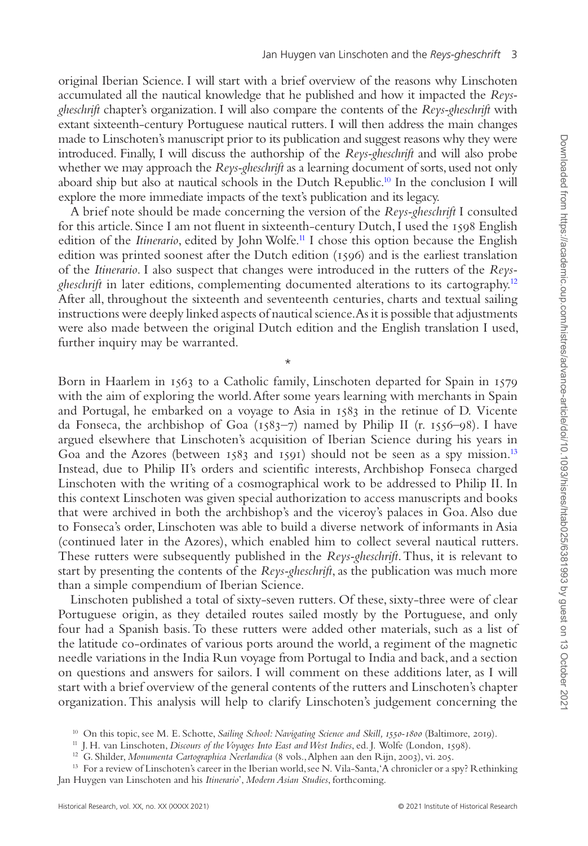original Iberian Science. I will start with a brief overview of the reasons why Linschoten accumulated all the nautical knowledge that he published and how it impacted the *Reysgheschrift* chapter's organization. I will also compare the contents of the *Reys-gheschrift* with extant sixteenth-century Portuguese nautical rutters. I will then address the main changes made to Linschoten's manuscript prior to its publication and suggest reasons why they were introduced. Finally, I will discuss the authorship of the *Reys-gheschrift* and will also probe whether we may approach the *Reys-gheschrift* as a learning document of sorts, used not only aboard ship but also at nautical schools in the Dutch Republic.<sup>[10](#page-2-0)</sup> In the conclusion I will explore the more immediate impacts of the text's publication and its legacy.

A brief note should be made concerning the version of the *Reys-gheschrift* I consulted for this article. Since I am not fluent in sixteenth-century Dutch, I used the 1598 English edition of the *Itinerario*, edited by John Wolfe.<sup>11</sup> I chose this option because the English edition was printed soonest after the Dutch edition (1596) and is the earliest translation of the *Itinerario*. I also suspect that changes were introduced in the rutters of the *Reysgheschrift* in later editions, complementing documented alterations to its cartography[.12](#page-2-2) After all, throughout the sixteenth and seventeenth centuries, charts and textual sailing instructions were deeply linked aspects of nautical science. As it is possible that adjustments were also made between the original Dutch edition and the English translation I used, further inquiry may be warranted.

\*

Born in Haarlem in 1563 to a Catholic family, Linschoten departed for Spain in 1579 with the aim of exploring the world. After some years learning with merchants in Spain and Portugal, he embarked on a voyage to Asia in 1583 in the retinue of D. Vicente da Fonseca, the archbishop of Goa  $(1583-7)$  named by Philip II (r. 1556–98). I have argued elsewhere that Linschoten's acquisition of Iberian Science during his years in Goa and the Azores (between 1583 and 1591) should not be seen as a spy mission.<sup>13</sup> Instead, due to Philip II's orders and scientific interests, Archbishop Fonseca charged Linschoten with the writing of a cosmographical work to be addressed to Philip II. In this context Linschoten was given special authorization to access manuscripts and books that were archived in both the archbishop's and the viceroy's palaces in Goa. Also due to Fonseca's order, Linschoten was able to build a diverse network of informants in Asia (continued later in the Azores), which enabled him to collect several nautical rutters. These rutters were subsequently published in the *Reys-gheschrift*. Thus, it is relevant to start by presenting the contents of the *Reys-gheschrift*, as the publication was much more than a simple compendium of Iberian Science.

Linschoten published a total of sixty-seven rutters. Of these, sixty-three were of clear Portuguese origin, as they detailed routes sailed mostly by the Portuguese, and only four had a Spanish basis. To these rutters were added other materials, such as a list of the latitude co-ordinates of various ports around the world, a regiment of the magnetic needle variations in the India Run voyage from Portugal to India and back, and a section on questions and answers for sailors. I will comment on these additions later, as I will start with a brief overview of the general contents of the rutters and Linschoten's chapter organization. This analysis will help to clarify Linschoten's judgement concerning the

<span id="page-2-0"></span><sup>10</sup> On this topic, see M. E. Schotte, *Sailing School: Navigating Science and Skill, 1550-1800* (Baltimore, 2019).

<span id="page-2-1"></span><sup>11</sup> J. H. van Linschoten, *Discours of the Voyages Into East and West Indies*, ed. J. Wolfe (London, 1598).

<span id="page-2-3"></span><span id="page-2-2"></span><sup>&</sup>lt;sup>12</sup> G. Shilder, *Monumenta Cartographica Neerlandica* (8 vols., Alphen aan den Rijn, 2003), vi. 205.

<sup>13</sup> For a review of Linschoten's career in the Iberian world, see N. Vila-Santa, 'A chronicler or a spy? Rethinking Jan Huygen van Linschoten and his *Itinerario*', *Modern Asian Studies*, forthcoming.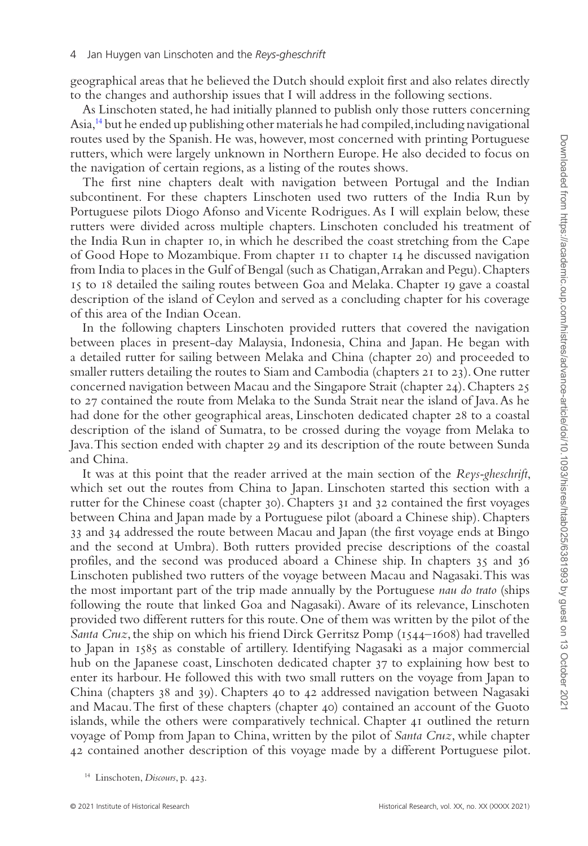geographical areas that he believed the Dutch should exploit first and also relates directly to the changes and authorship issues that I will address in the following sections.

As Linschoten stated, he had initially planned to publish only those rutters concerning Asia,[14](#page-3-0) but he ended up publishing other materials he had compiled, including navigational routes used by the Spanish. He was, however, most concerned with printing Portuguese rutters, which were largely unknown in Northern Europe. He also decided to focus on the navigation of certain regions, as a listing of the routes shows.

The first nine chapters dealt with navigation between Portugal and the Indian subcontinent. For these chapters Linschoten used two rutters of the India Run by Portuguese pilots Diogo Afonso and Vicente Rodrigues. As I will explain below, these rutters were divided across multiple chapters. Linschoten concluded his treatment of the India Run in chapter 10, in which he described the coast stretching from the Cape of Good Hope to Mozambique. From chapter 11 to chapter 14 he discussed navigation from India to places in the Gulf of Bengal (such as Chatigan, Arrakan and Pegu). Chapters 15 to 18 detailed the sailing routes between Goa and Melaka. Chapter 19 gave a coastal description of the island of Ceylon and served as a concluding chapter for his coverage of this area of the Indian Ocean.

In the following chapters Linschoten provided rutters that covered the navigation between places in present-day Malaysia, Indonesia, China and Japan. He began with a detailed rutter for sailing between Melaka and China (chapter 20) and proceeded to smaller rutters detailing the routes to Siam and Cambodia (chapters 21 to 23). One rutter concerned navigation between Macau and the Singapore Strait (chapter 24). Chapters 25 to 27 contained the route from Melaka to the Sunda Strait near the island of Java. As he had done for the other geographical areas, Linschoten dedicated chapter 28 to a coastal description of the island of Sumatra, to be crossed during the voyage from Melaka to Java. This section ended with chapter 29 and its description of the route between Sunda and China.

It was at this point that the reader arrived at the main section of the *Reys-gheschrift*, which set out the routes from China to Japan. Linschoten started this section with a rutter for the Chinese coast (chapter 30). Chapters 31 and 32 contained the first voyages between China and Japan made by a Portuguese pilot (aboard a Chinese ship). Chapters 33 and 34 addressed the route between Macau and Japan (the first voyage ends at Bingo and the second at Umbra). Both rutters provided precise descriptions of the coastal profiles, and the second was produced aboard a Chinese ship. In chapters 35 and 36 Linschoten published two rutters of the voyage between Macau and Nagasaki. This was the most important part of the trip made annually by the Portuguese *nau do trato* (ships following the route that linked Goa and Nagasaki). Aware of its relevance, Linschoten provided two different rutters for this route. One of them was written by the pilot of the *Santa Cruz*, the ship on which his friend Dirck Gerritsz Pomp (1544–1608) had travelled to Japan in 1585 as constable of artillery. Identifying Nagasaki as a major commercial hub on the Japanese coast, Linschoten dedicated chapter 37 to explaining how best to enter its harbour. He followed this with two small rutters on the voyage from Japan to China (chapters 38 and 39). Chapters 40 to 42 addressed navigation between Nagasaki and Macau. The first of these chapters (chapter 40) contained an account of the Guoto islands, while the others were comparatively technical. Chapter 41 outlined the return voyage of Pomp from Japan to China, written by the pilot of *Santa Cruz*, while chapter 42 contained another description of this voyage made by a different Portuguese pilot.

<span id="page-3-0"></span><sup>14</sup> Linschoten, *Discours*, p. 423.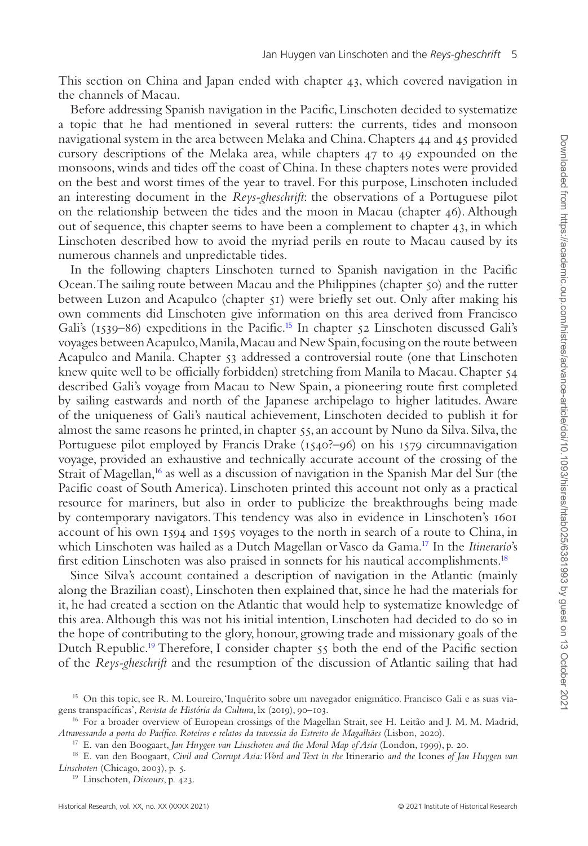This section on China and Japan ended with chapter 43, which covered navigation in the channels of Macau.

Before addressing Spanish navigation in the Pacific, Linschoten decided to systematize a topic that he had mentioned in several rutters: the currents, tides and monsoon navigational system in the area between Melaka and China. Chapters 44 and 45 provided cursory descriptions of the Melaka area, while chapters 47 to 49 expounded on the monsoons, winds and tides off the coast of China. In these chapters notes were provided on the best and worst times of the year to travel. For this purpose, Linschoten included an interesting document in the *Reys-gheschrift*: the observations of a Portuguese pilot on the relationship between the tides and the moon in Macau (chapter 46). Although out of sequence, this chapter seems to have been a complement to chapter  $43$ , in which Linschoten described how to avoid the myriad perils en route to Macau caused by its numerous channels and unpredictable tides.

In the following chapters Linschoten turned to Spanish navigation in the Pacific Ocean. The sailing route between Macau and the Philippines (chapter 50) and the rutter between Luzon and Acapulco (chapter 51) were briefly set out. Only after making his own comments did Linschoten give information on this area derived from Francisco Gali's ( $1539-86$ ) expeditions in the Pacific.<sup>15</sup> In chapter  $52$  Linschoten discussed Gali's voyages between Acapulco, Manila, Macau and New Spain, focusing on the route between Acapulco and Manila. Chapter 53 addressed a controversial route (one that Linschoten knew quite well to be officially forbidden) stretching from Manila to Macau. Chapter 54 described Gali's voyage from Macau to New Spain, a pioneering route first completed by sailing eastwards and north of the Japanese archipelago to higher latitudes. Aware of the uniqueness of Gali's nautical achievement, Linschoten decided to publish it for almost the same reasons he printed, in chapter 55, an account by Nuno da Silva. Silva, the Portuguese pilot employed by Francis Drake (1540?–96) on his 1579 circumnavigation voyage, provided an exhaustive and technically accurate account of the crossing of the Strait of Magellan,[16](#page-4-1) as well as a discussion of navigation in the Spanish Mar del Sur (the Pacific coast of South America). Linschoten printed this account not only as a practical resource for mariners, but also in order to publicize the breakthroughs being made by contemporary navigators. This tendency was also in evidence in Linschoten's 1601 account of his own 1594 and 1595 voyages to the north in search of a route to China, in which Linschoten was hailed as a Dutch Magellan or Vasco da Gama[.17](#page-4-2) In the *Itinerario*'s first edition Linschoten was also praised in sonnets for his nautical accomplishments[.18](#page-4-3)

Since Silva's account contained a description of navigation in the Atlantic (mainly along the Brazilian coast), Linschoten then explained that, since he had the materials for it, he had created a section on the Atlantic that would help to systematize knowledge of this area. Although this was not his initial intention, Linschoten had decided to do so in the hope of contributing to the glory, honour, growing trade and missionary goals of the Dutch Republic[.19](#page-4-4) Therefore, I consider chapter 55 both the end of the Pacific section of the *Reys-gheschrift* and the resumption of the discussion of Atlantic sailing that had

<span id="page-4-4"></span><sup>19</sup> Linschoten, *Discours*, p. 423.

<span id="page-4-0"></span><sup>15</sup> On this topic, see R. M. Loureiro, 'Inquérito sobre um navegador enigmático. Francisco Gali e as suas viagens transpacíficas', *Revista de História da Cultura*, lx (2019), 90–103.

<span id="page-4-1"></span><sup>&</sup>lt;sup>16</sup> For a broader overview of European crossings of the Magellan Strait, see H. Leitão and J. M. M. Madrid, *Atravessando a porta do Pacífico. Roteiros e relatos da travessia do Estreito de Magalhães* (Lisbon, 2020).

<span id="page-4-3"></span><span id="page-4-2"></span><sup>17</sup> E. van den Boogaart, *Jan Huygen van Linschoten and the Moral Map of Asia* (London, 1999), p. 20.

<sup>18</sup> E. van den Boogaart, *Civil and Corrupt Asia: Word and Text in the* Itinerario *and the* Icones *of Jan Huygen van Linschoten* (Chicago, 2003), p. 5.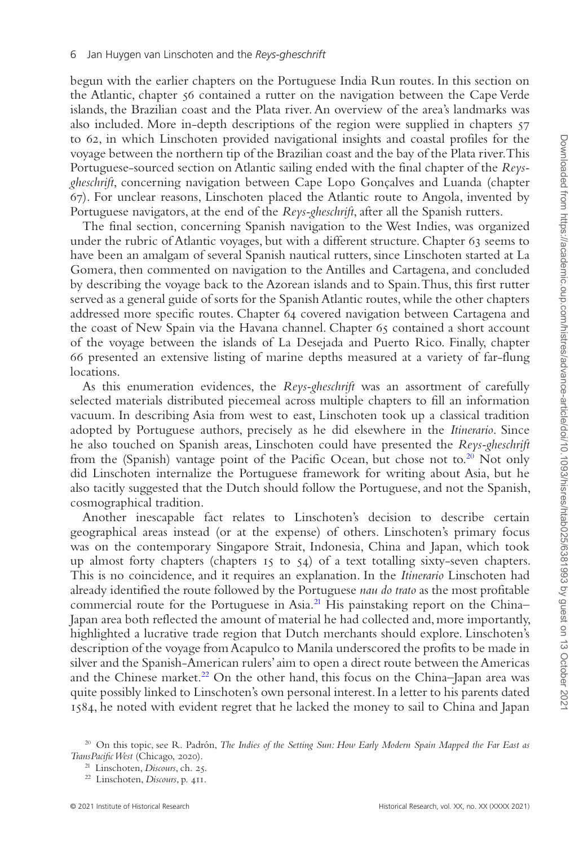begun with the earlier chapters on the Portuguese India Run routes. In this section on the Atlantic, chapter 56 contained a rutter on the navigation between the Cape Verde islands, the Brazilian coast and the Plata river. An overview of the area's landmarks was also included. More in-depth descriptions of the region were supplied in chapters 57 to 62, in which Linschoten provided navigational insights and coastal profiles for the voyage between the northern tip of the Brazilian coast and the bay of the Plata river. This Portuguese-sourced section on Atlantic sailing ended with the final chapter of the *Reysgheschrift*, concerning navigation between Cape Lopo Gonçalves and Luanda (chapter 67). For unclear reasons, Linschoten placed the Atlantic route to Angola, invented by Portuguese navigators, at the end of the *Reys-gheschrift*, after all the Spanish rutters.

The final section, concerning Spanish navigation to the West Indies, was organized under the rubric of Atlantic voyages, but with a different structure. Chapter 63 seems to have been an amalgam of several Spanish nautical rutters, since Linschoten started at La Gomera, then commented on navigation to the Antilles and Cartagena, and concluded by describing the voyage back to the Azorean islands and to Spain. Thus, this first rutter served as a general guide of sorts for the Spanish Atlantic routes, while the other chapters addressed more specific routes. Chapter 64 covered navigation between Cartagena and the coast of New Spain via the Havana channel. Chapter 65 contained a short account of the voyage between the islands of La Desejada and Puerto Rico. Finally, chapter 66 presented an extensive listing of marine depths measured at a variety of far-flung locations.

As this enumeration evidences, the *Reys-gheschrift* was an assortment of carefully selected materials distributed piecemeal across multiple chapters to fill an information vacuum. In describing Asia from west to east, Linschoten took up a classical tradition adopted by Portuguese authors, precisely as he did elsewhere in the *Itinerario*. Since he also touched on Spanish areas, Linschoten could have presented the *Reys-gheschrift* from the (Spanish) vantage point of the Pacific Ocean, but chose not to.<sup>[20](#page-5-0)</sup> Not only did Linschoten internalize the Portuguese framework for writing about Asia, but he also tacitly suggested that the Dutch should follow the Portuguese, and not the Spanish, cosmographical tradition.

Another inescapable fact relates to Linschoten's decision to describe certain geographical areas instead (or at the expense) of others. Linschoten's primary focus was on the contemporary Singapore Strait, Indonesia, China and Japan, which took up almost forty chapters (chapters  $15$  to  $54$ ) of a text totalling sixty-seven chapters. This is no coincidence, and it requires an explanation. In the *Itinerario* Linschoten had already identified the route followed by the Portuguese *nau do trato* as the most profitable commercial route for the Portuguese in Asia.<sup>21</sup> His painstaking report on the China– Japan area both reflected the amount of material he had collected and, more importantly, highlighted a lucrative trade region that Dutch merchants should explore. Linschoten's description of the voyage from Acapulco to Manila underscored the profits to be made in silver and the Spanish-American rulers' aim to open a direct route between the Americas and the Chinese market.<sup>22</sup> On the other hand, this focus on the China–Japan area was quite possibly linked to Linschoten's own personal interest. In a letter to his parents dated 1584, he noted with evident regret that he lacked the money to sail to China and Japan

<span id="page-5-0"></span><sup>&</sup>lt;sup>20</sup> On this topic, see R. Padrón, *The Indies of the Setting Sun: How Early Modern Spain Mapped the Far East as TransPacific West* (Chicago, 2020).

<span id="page-5-1"></span><sup>21</sup> Linschoten, *Discours*, ch. 25.

<span id="page-5-2"></span><sup>22</sup> Linschoten, *Discours*, p. 411.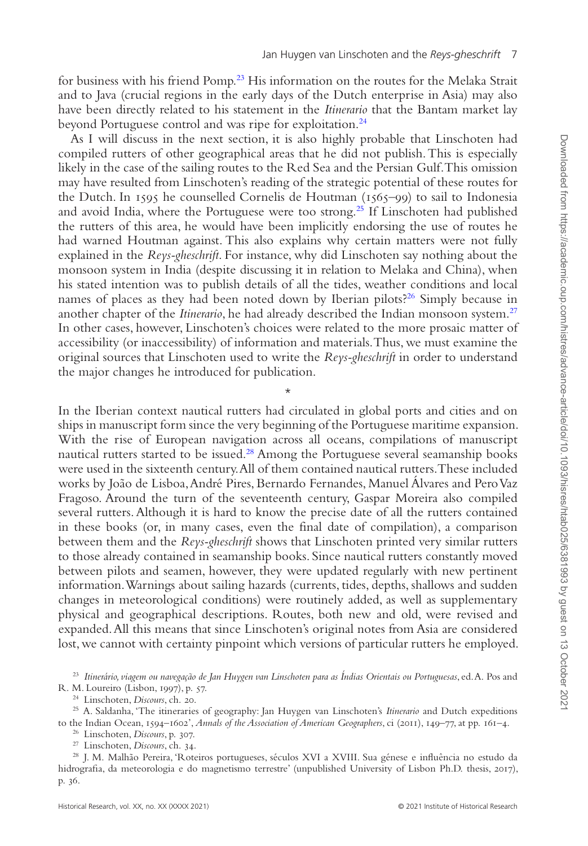for business with his friend Pomp[.23](#page-6-0) His information on the routes for the Melaka Strait and to Java (crucial regions in the early days of the Dutch enterprise in Asia) may also have been directly related to his statement in the *Itinerario* that the Bantam market lay beyond Portuguese control and was ripe for exploitation[.24](#page-6-1)

As I will discuss in the next section, it is also highly probable that Linschoten had compiled rutters of other geographical areas that he did not publish. This is especially likely in the case of the sailing routes to the Red Sea and the Persian Gulf. This omission may have resulted from Linschoten's reading of the strategic potential of these routes for the Dutch. In 1595 he counselled Cornelis de Houtman (1565–99) to sail to Indonesia and avoid India, where the Portuguese were too strong.[25](#page-6-2) If Linschoten had published the rutters of this area, he would have been implicitly endorsing the use of routes he had warned Houtman against. This also explains why certain matters were not fully explained in the *Reys-gheschrift*. For instance, why did Linschoten say nothing about the monsoon system in India (despite discussing it in relation to Melaka and China), when his stated intention was to publish details of all the tides, weather conditions and local names of places as they had been noted down by Iberian pilots?<sup>[26](#page-6-3)</sup> Simply because in another chapter of the *Itinerario*, he had already described the Indian monsoon system[.27](#page-6-4) In other cases, however, Linschoten's choices were related to the more prosaic matter of accessibility (or inaccessibility) of information and materials. Thus, we must examine the original sources that Linschoten used to write the *Reys-gheschrift* in order to understand the major changes he introduced for publication.

In the Iberian context nautical rutters had circulated in global ports and cities and on ships in manuscript form since the very beginning of the Portuguese maritime expansion. With the rise of European navigation across all oceans, compilations of manuscript nautical rutters started to be issued[.28](#page-6-5) Among the Portuguese several seamanship books were used in the sixteenth century. All of them contained nautical rutters. These included works by João de Lisboa, André Pires, Bernardo Fernandes, Manuel Álvares and Pero Vaz Fragoso. Around the turn of the seventeenth century, Gaspar Moreira also compiled several rutters. Although it is hard to know the precise date of all the rutters contained in these books (or, in many cases, even the final date of compilation), a comparison between them and the *Reys-gheschrift* shows that Linschoten printed very similar rutters to those already contained in seamanship books. Since nautical rutters constantly moved between pilots and seamen, however, they were updated regularly with new pertinent information. Warnings about sailing hazards (currents, tides, depths, shallows and sudden changes in meteorological conditions) were routinely added, as well as supplementary physical and geographical descriptions. Routes, both new and old, were revised and expanded. All this means that since Linschoten's original notes from Asia are considered lost, we cannot with certainty pinpoint which versions of particular rutters he employed.

\*

<span id="page-6-0"></span><sup>23</sup> *Itinerário, viagem ou navegação de Jan Huygen van Linschoten para as Índias Orientais ou Portuguesas*, ed. A. Pos and R. M. Loureiro (Lisbon, 1997), p. 57.

<span id="page-6-2"></span><span id="page-6-1"></span><sup>24</sup> Linschoten, *Discours*, ch. 20.

<sup>25</sup> A. Saldanha, 'The itineraries of geography: Jan Huygen van Linschoten's *Itinerario* and Dutch expeditions to the Indian Ocean, 1594–1602', *Annals of the Association of American Geographers*, ci (2011), 149–77, at pp. 161–4.

<span id="page-6-3"></span><sup>26</sup> Linschoten, *Discours*, p. 307.

<span id="page-6-5"></span><span id="page-6-4"></span><sup>27</sup> Linschoten, *Discours*, ch. 34.

<sup>28</sup> J. M. Malhão Pereira, 'Roteiros portugueses, séculos XVI a XVIII. Sua génese e influência no estudo da hidrografia, da meteorologia e do magnetismo terrestre' (unpublished University of Lisbon Ph.D. thesis, 2017), p. 36.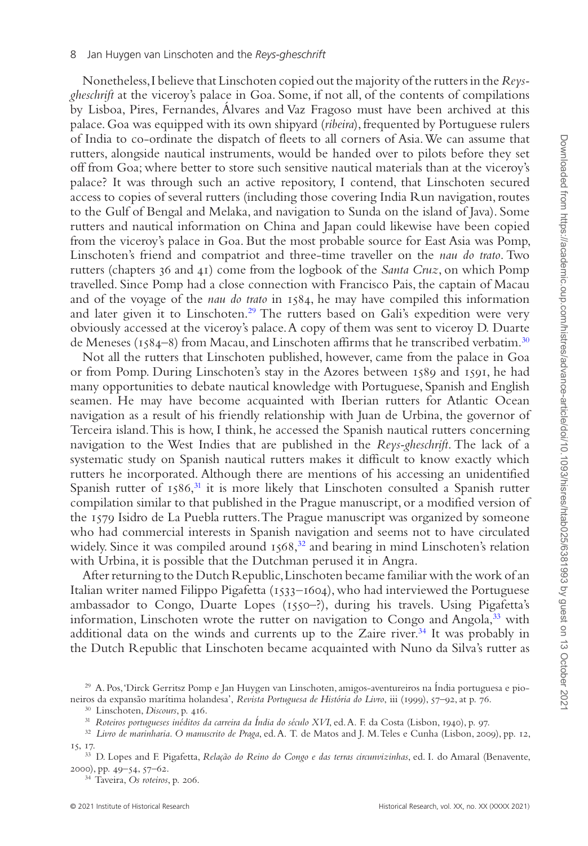Nonetheless, I believe that Linschoten copied out the majority of the rutters in the *Reysgheschrift* at the viceroy's palace in Goa. Some, if not all, of the contents of compilations by Lisboa, Pires, Fernandes, Álvares and Vaz Fragoso must have been archived at this palace. Goa was equipped with its own shipyard (*ribeira*), frequented by Portuguese rulers of India to co-ordinate the dispatch of fleets to all corners of Asia. We can assume that rutters, alongside nautical instruments, would be handed over to pilots before they set off from Goa; where better to store such sensitive nautical materials than at the viceroy's palace? It was through such an active repository, I contend, that Linschoten secured access to copies of several rutters (including those covering India Run navigation, routes to the Gulf of Bengal and Melaka, and navigation to Sunda on the island of Java). Some rutters and nautical information on China and Japan could likewise have been copied from the viceroy's palace in Goa. But the most probable source for East Asia was Pomp, Linschoten's friend and compatriot and three-time traveller on the *nau do trato*. Two rutters (chapters 36 and 41) come from the logbook of the *Santa Cruz*, on which Pomp travelled. Since Pomp had a close connection with Francisco Pais, the captain of Macau and of the voyage of the *nau do trato* in 1584, he may have compiled this information and later given it to Linschoten.<sup>[29](#page-7-0)</sup> The rutters based on Gali's expedition were very obviously accessed at the viceroy's palace. A copy of them was sent to viceroy D. Duarte de Meneses (1584–8) from Macau, and Linschoten affirms that he transcribed verbatim[.30](#page-7-1)

Not all the rutters that Linschoten published, however, came from the palace in Goa or from Pomp. During Linschoten's stay in the Azores between 1589 and 1591, he had many opportunities to debate nautical knowledge with Portuguese, Spanish and English seamen. He may have become acquainted with Iberian rutters for Atlantic Ocean navigation as a result of his friendly relationship with Juan de Urbina, the governor of Terceira island. This is how, I think, he accessed the Spanish nautical rutters concerning navigation to the West Indies that are published in the *Reys-gheschrift*. The lack of a systematic study on Spanish nautical rutters makes it difficult to know exactly which rutters he incorporated. Although there are mentions of his accessing an unidentified Spanish rutter of  $1586$ , $^{31}$  it is more likely that Linschoten consulted a Spanish rutter compilation similar to that published in the Prague manuscript, or a modified version of the 1579 Isidro de La Puebla rutters. The Prague manuscript was organized by someone who had commercial interests in Spanish navigation and seems not to have circulated widely. Since it was compiled around  $1568$ , $^{32}$  and bearing in mind Linschoten's relation with Urbina, it is possible that the Dutchman perused it in Angra.

After returning to the Dutch Republic, Linschoten became familiar with the work of an Italian writer named Filippo Pigafetta (1533–1604), who had interviewed the Portuguese ambassador to Congo, Duarte Lopes (1550–?), during his travels. Using Pigafetta's information, Linschoten wrote the rutter on navigation to Congo and Angola,<sup>33</sup> with additional data on the winds and currents up to the Zaire river[.34](#page-7-5) It was probably in the Dutch Republic that Linschoten became acquainted with Nuno da Silva's rutter as

<span id="page-7-1"></span><span id="page-7-0"></span><sup>30</sup> Linschoten, *Discours*, p. 416.

<sup>29</sup> A. Pos, 'Dirck Gerritsz Pomp e Jan Huygen van Linschoten, amigos-aventureiros na Índia portuguesa e pioneiros da expansão marítima holandesa', *Revista Portuguesa de História do Livro*, iii (1999), 57–92, at p. 76.

<span id="page-7-3"></span><span id="page-7-2"></span><sup>31</sup> *Roteiros portugueses inéditos da carreira da Índia do século XVI*, ed. A. F. da Costa (Lisbon, 1940), p. 97.

<sup>32</sup> *Livro de marinharia. O manuscrito de Praga*, ed. A. T. de Matos and J. M. Teles e Cunha (Lisbon, 2009), pp. 12, 15, 17.

<span id="page-7-4"></span><sup>33</sup> D. Lopes and F. Pigafetta, *Relação do Reino do Congo e das terras circunvizinhas*, ed. I. do Amaral (Benavente, 2000), pp. 49–54, 57–62.

<span id="page-7-5"></span><sup>34</sup> Taveira, *Os roteiros*, p. 206.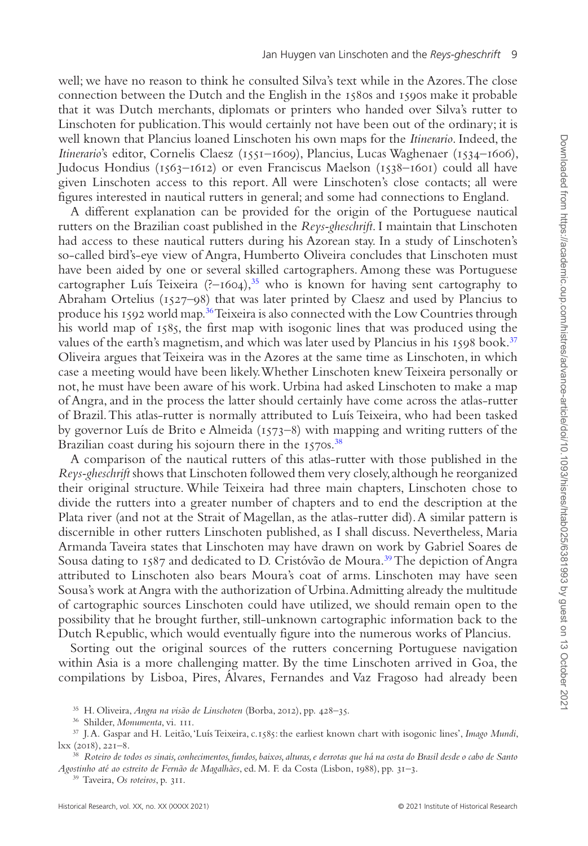well; we have no reason to think he consulted Silva's text while in the Azores. The close connection between the Dutch and the English in the 1580s and 1590s make it probable that it was Dutch merchants, diplomats or printers who handed over Silva's rutter to Linschoten for publication. This would certainly not have been out of the ordinary; it is well known that Plancius loaned Linschoten his own maps for the *Itinerario*. Indeed, the *Itinerario*'s editor, Cornelis Claesz (1551–1609), Plancius, Lucas Waghenaer (1534–1606), Judocus Hondius (1563–1612) or even Franciscus Maelson (1538–1601) could all have given Linschoten access to this report. All were Linschoten's close contacts; all were figures interested in nautical rutters in general; and some had connections to England.

A different explanation can be provided for the origin of the Portuguese nautical rutters on the Brazilian coast published in the *Reys-gheschrift*. I maintain that Linschoten had access to these nautical rutters during his Azorean stay. In a study of Linschoten's so-called bird's-eye view of Angra, Humberto Oliveira concludes that Linschoten must have been aided by one or several skilled cartographers. Among these was Portuguese cartographer Luís Teixeira  $(?-1604),^{35}$  who is known for having sent cartography to Abraham Ortelius (1527–98) that was later printed by Claesz and used by Plancius to produce his 1592 world map.[36](#page-8-1) Teixeira is also connected with the Low Countries through his world map of 1585, the first map with isogonic lines that was produced using the values of the earth's magnetism, and which was later used by Plancius in his 1598 book[.37](#page-8-2) Oliveira argues that Teixeira was in the Azores at the same time as Linschoten, in which case a meeting would have been likely. Whether Linschoten knew Teixeira personally or not, he must have been aware of his work. Urbina had asked Linschoten to make a map of Angra, and in the process the latter should certainly have come across the atlas-rutter of Brazil. This atlas-rutter is normally attributed to Luís Teixeira, who had been tasked by governor Luís de Brito e Almeida (1573–8) with mapping and writing rutters of the Brazilian coast during his sojourn there in the 1570s.<sup>[38](#page-8-3)</sup>

A comparison of the nautical rutters of this atlas-rutter with those published in the *Reys-gheschrift* shows that Linschoten followed them very closely, although he reorganized their original structure. While Teixeira had three main chapters, Linschoten chose to divide the rutters into a greater number of chapters and to end the description at the Plata river (and not at the Strait of Magellan, as the atlas-rutter did). A similar pattern is discernible in other rutters Linschoten published, as I shall discuss. Nevertheless, Maria Armanda Taveira states that Linschoten may have drawn on work by Gabriel Soares de Sousa dating to 1587 and dedicated to D. Cristóvão de Moura.<sup>[39](#page-8-4)</sup> The depiction of Angra attributed to Linschoten also bears Moura's coat of arms. Linschoten may have seen Sousa's work at Angra with the authorization of Urbina. Admitting already the multitude of cartographic sources Linschoten could have utilized, we should remain open to the possibility that he brought further, still-unknown cartographic information back to the Dutch Republic, which would eventually figure into the numerous works of Plancius.

Sorting out the original sources of the rutters concerning Portuguese navigation within Asia is a more challenging matter. By the time Linschoten arrived in Goa, the compilations by Lisboa, Pires, Álvares, Fernandes and Vaz Fragoso had already been

<span id="page-8-0"></span><sup>35</sup> H. Oliveira, *Angra na visão de Linschoten* (Borba, 2012), pp. 428–35.

<span id="page-8-4"></span><sup>39</sup> Taveira, *Os roteiros*, p. 311.

<span id="page-8-2"></span><span id="page-8-1"></span><sup>36</sup> Shilder, *Monumenta*, vi. 111.

<sup>37</sup> J. A. Gaspar and H. Leitão, 'Luís Teixeira, c.1585: the earliest known chart with isogonic lines', *Imago Mundi*, lxx (2018), 221–8.

<span id="page-8-3"></span><sup>38</sup> *Roteiro de todos os sinais, conhecimentos, fundos, baixos, alturas, e derrotas que há na costa do Brasil desde o cabo de Santo Agostinho até ao estreito de Fernão de Magalhães*, ed. M. F. da Costa (Lisbon, 1988), pp. 31–3.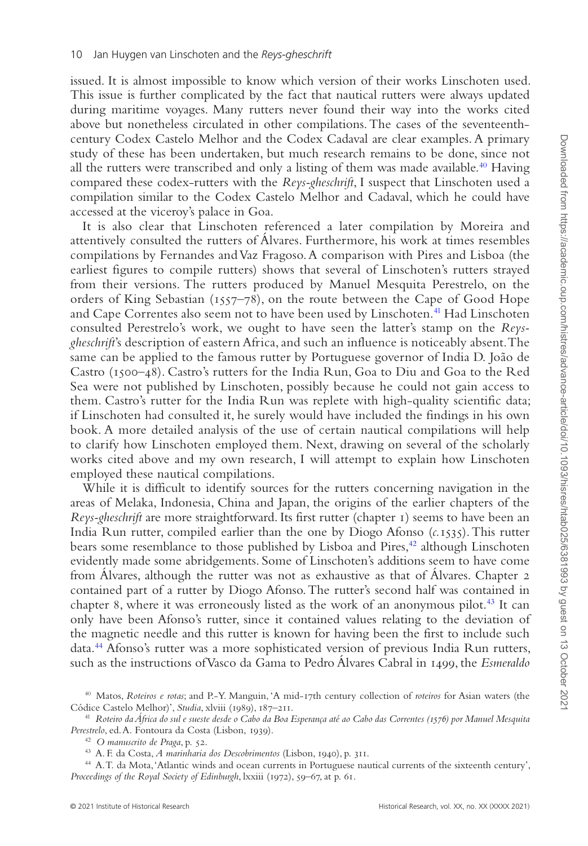issued. It is almost impossible to know which version of their works Linschoten used. This issue is further complicated by the fact that nautical rutters were always updated during maritime voyages. Many rutters never found their way into the works cited above but nonetheless circulated in other compilations. The cases of the seventeenthcentury Codex Castelo Melhor and the Codex Cadaval are clear examples. A primary study of these has been undertaken, but much research remains to be done, since not all the rutters were transcribed and only a listing of them was made available.<sup>40</sup> Having compared these codex-rutters with the *Reys-gheschrift*, I suspect that Linschoten used a compilation similar to the Codex Castelo Melhor and Cadaval, which he could have accessed at the viceroy's palace in Goa.

It is also clear that Linschoten referenced a later compilation by Moreira and attentively consulted the rutters of Álvares. Furthermore, his work at times resembles compilations by Fernandes and Vaz Fragoso. A comparison with Pires and Lisboa (the earliest figures to compile rutters) shows that several of Linschoten's rutters strayed from their versions. The rutters produced by Manuel Mesquita Perestrelo, on the orders of King Sebastian (1557–78), on the route between the Cape of Good Hope and Cape Correntes also seem not to have been used by Linschoten.<sup>[41](#page-9-1)</sup> Had Linschoten consulted Perestrelo's work, we ought to have seen the latter's stamp on the *Reysgheschrift*'s description of eastern Africa, and such an influence is noticeably absent. The same can be applied to the famous rutter by Portuguese governor of India D. João de Castro (1500–48). Castro's rutters for the India Run, Goa to Diu and Goa to the Red Sea were not published by Linschoten, possibly because he could not gain access to them. Castro's rutter for the India Run was replete with high-quality scientific data; if Linschoten had consulted it, he surely would have included the findings in his own book. A more detailed analysis of the use of certain nautical compilations will help to clarify how Linschoten employed them. Next, drawing on several of the scholarly works cited above and my own research, I will attempt to explain how Linschoten employed these nautical compilations.

While it is difficult to identify sources for the rutters concerning navigation in the areas of Melaka, Indonesia, China and Japan, the origins of the earlier chapters of the *Reys-gheschrift* are more straightforward. Its first rutter (chapter 1) seems to have been an India Run rutter, compiled earlier than the one by Diogo Afonso (*c.*1535). This rutter bears some resemblance to those published by Lisboa and Pires,<sup>42</sup> although Linschoten evidently made some abridgements. Some of Linschoten's additions seem to have come from Álvares, although the rutter was not as exhaustive as that of Álvares. Chapter 2 contained part of a rutter by Diogo Afonso. The rutter's second half was contained in chapter 8, where it was erroneously listed as the work of an anonymous pilot.<sup>43</sup> It can only have been Afonso's rutter, since it contained values relating to the deviation of the magnetic needle and this rutter is known for having been the first to include such data.<sup>44</sup> Afonso's rutter was a more sophisticated version of previous India Run rutters, such as the instructions of Vasco da Gama to Pedro Álvares Cabral in 1499, the *Esmeraldo*

<span id="page-9-0"></span><sup>40</sup> Matos, *Roteiros e rotas*; and P.-Y. Manguin, 'A mid-17th century collection of *roteiros* for Asian waters (the Códice Castelo Melhor)', *Studia*, xlviii (1989), 187–211.

<span id="page-9-1"></span><sup>41</sup> *Roteiro da África do sul e sueste desde o Cabo da Boa Esperança até ao Cabo das Correntes (1576) por Manuel Mesquita Perestrelo*, ed. A. Fontoura da Costa (Lisbon, 1939).

<span id="page-9-2"></span><sup>42</sup> *O manuscrito de Praga*, p. 52.

<span id="page-9-4"></span><span id="page-9-3"></span><sup>43</sup> A. F. da Costa, *A marinharia dos Descobrimentos* (Lisbon, 1940), p. 311.

<sup>44</sup> A. T. da Mota, 'Atlantic winds and ocean currents in Portuguese nautical currents of the sixteenth century', *Proceedings of the Royal Society of Edinburgh*, lxxiii (1972), 59–67, at p. 61.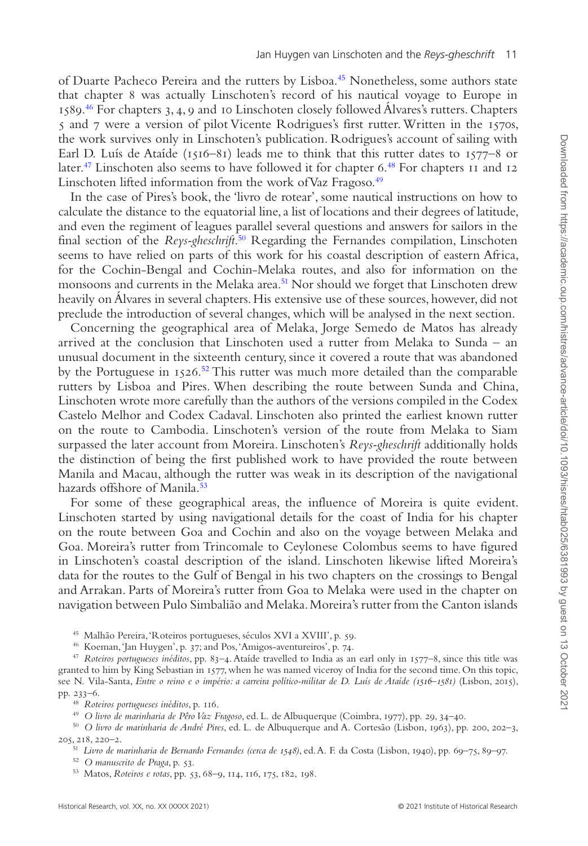of Duarte Pacheco Pereira and the rutters by Lisboa[.45](#page-10-0) Nonetheless, some authors state that chapter 8 was actually Linschoten's record of his nautical voyage to Europe in 1589[.46](#page-10-1) For chapters 3, 4, 9 and 10 Linschoten closely followed Álvares's rutters. Chapters 5 and 7 were a version of pilot Vicente Rodrigues's first rutter. Written in the 1570s, the work survives only in Linschoten's publication. Rodrigues's account of sailing with Earl D. Luís de Ataíde (1516–81) leads me to think that this rutter dates to 1577–8 or later.<sup>47</sup> Linschoten also seems to have followed it for chapter 6.<sup>48</sup> For chapters 11 and 12 Linschoten lifted information from the work of Vaz Fragoso.<sup>49</sup>

In the case of Pires's book, the 'livro de rotear', some nautical instructions on how to calculate the distance to the equatorial line, a list of locations and their degrees of latitude, and even the regiment of leagues parallel several questions and answers for sailors in the final section of the *Reys-gheschrift*. [50](#page-10-5) Regarding the Fernandes compilation, Linschoten seems to have relied on parts of this work for his coastal description of eastern Africa, for the Cochin-Bengal and Cochin-Melaka routes, and also for information on the monsoons and currents in the Melaka area.<sup>[51](#page-10-6)</sup> Nor should we forget that Linschoten drew heavily on Álvares in several chapters. His extensive use of these sources, however, did not preclude the introduction of several changes, which will be analysed in the next section.

Concerning the geographical area of Melaka, Jorge Semedo de Matos has already arrived at the conclusion that Linschoten used a rutter from Melaka to Sunda – an unusual document in the sixteenth century, since it covered a route that was abandoned by the Portuguese in 1526[.52](#page-10-7) This rutter was much more detailed than the comparable rutters by Lisboa and Pires. When describing the route between Sunda and China, Linschoten wrote more carefully than the authors of the versions compiled in the Codex Castelo Melhor and Codex Cadaval. Linschoten also printed the earliest known rutter on the route to Cambodia. Linschoten's version of the route from Melaka to Siam surpassed the later account from Moreira. Linschoten's *Reys-gheschrift* additionally holds the distinction of being the first published work to have provided the route between Manila and Macau, although the rutter was weak in its description of the navigational hazards offshore of Manila.<sup>[53](#page-10-8)</sup>

For some of these geographical areas, the influence of Moreira is quite evident. Linschoten started by using navigational details for the coast of India for his chapter on the route between Goa and Cochin and also on the voyage between Melaka and Goa. Moreira's rutter from Trincomale to Ceylonese Colombus seems to have figured in Linschoten's coastal description of the island. Linschoten likewise lifted Moreira's data for the routes to the Gulf of Bengal in his two chapters on the crossings to Bengal and Arrakan. Parts of Moreira's rutter from Goa to Melaka were used in the chapter on navigation between Pulo Simbalião and Melaka. Moreira's rutter from the Canton islands

<span id="page-10-0"></span><sup>45</sup> Malhão Pereira, 'Roteiros portugueses, séculos XVI a XVIII', p. 59.

<span id="page-10-2"></span><span id="page-10-1"></span><sup>46</sup> Koeman, 'Jan Huygen', p. 37; and Pos, 'Amigos-aventureiros', p. 74.

<sup>47</sup> *Roteiros portugueses inéditos*, pp. 83–4. Ataíde travelled to India as an earl only in 1577–8, since this title was granted to him by King Sebastian in 1577, when he was named viceroy of India for the second time. On this topic, see N. Vila-Santa, *Entre o reino e o império: a carreira político-militar de D. Luís de Ataíde (1516–1581)* (Lisbon, 2015), pp. 233–6.

<span id="page-10-3"></span><sup>48</sup> *Roteiros portugueses inéditos*, p. 116.

<span id="page-10-5"></span><span id="page-10-4"></span><sup>49</sup> *O livro de marinharia de Pêro Vaz Fragoso*, ed. L. de Albuquerque (Coimbra, 1977), pp. 29, 34–40.

<sup>50</sup> *O livro de marinharia de André Pires*, ed. L. de Albuquerque and A. Cortesão (Lisbon, 1963), pp. 200, 202–3, 205, 218, 220–2.

<span id="page-10-6"></span><sup>51</sup> *Livro de marinharia de Bernardo Fernandes (cerca de 1548)*, ed. A. F. da Costa (Lisbon, 1940), pp. 69–75, 89–97.

<span id="page-10-7"></span><sup>52</sup> *O manuscrito de Praga*, p. 53.

<span id="page-10-8"></span><sup>53</sup> Matos, *Roteiros e rotas*, pp. 53, 68–9, 114, 116, 175, 182, 198.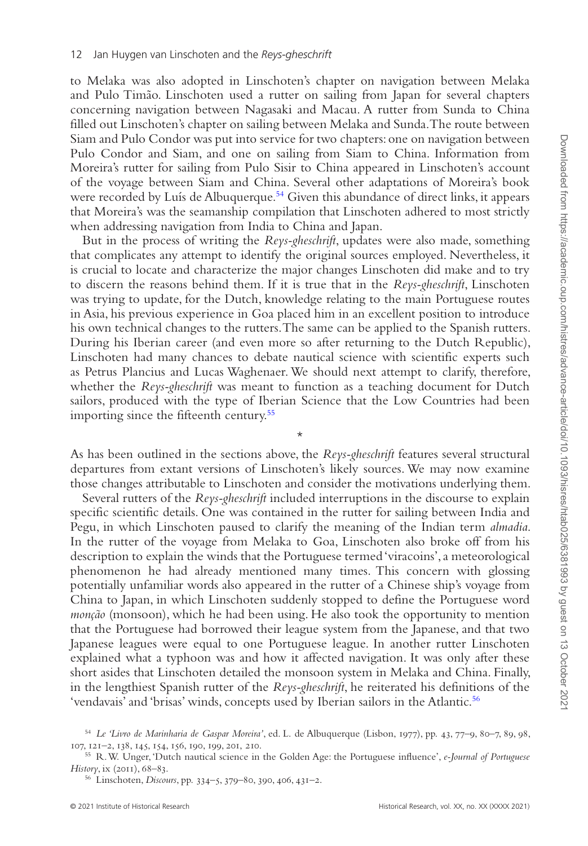to Melaka was also adopted in Linschoten's chapter on navigation between Melaka and Pulo Timão. Linschoten used a rutter on sailing from Japan for several chapters concerning navigation between Nagasaki and Macau. A rutter from Sunda to China filled out Linschoten's chapter on sailing between Melaka and Sunda. The route between Siam and Pulo Condor was put into service for two chapters: one on navigation between Pulo Condor and Siam, and one on sailing from Siam to China. Information from Moreira's rutter for sailing from Pulo Sisir to China appeared in Linschoten's account of the voyage between Siam and China. Several other adaptations of Moreira's book were recorded by Luís de Albuquerque.<sup>[54](#page-11-0)</sup> Given this abundance of direct links, it appears that Moreira's was the seamanship compilation that Linschoten adhered to most strictly when addressing navigation from India to China and Japan.

But in the process of writing the *Reys-gheschrift*, updates were also made, something that complicates any attempt to identify the original sources employed. Nevertheless, it is crucial to locate and characterize the major changes Linschoten did make and to try to discern the reasons behind them. If it is true that in the *Reys-gheschrift*, Linschoten was trying to update, for the Dutch, knowledge relating to the main Portuguese routes in Asia, his previous experience in Goa placed him in an excellent position to introduce his own technical changes to the rutters. The same can be applied to the Spanish rutters. During his Iberian career (and even more so after returning to the Dutch Republic), Linschoten had many chances to debate nautical science with scientific experts such as Petrus Plancius and Lucas Waghenaer. We should next attempt to clarify, therefore, whether the *Reys-gheschrift* was meant to function as a teaching document for Dutch sailors, produced with the type of Iberian Science that the Low Countries had been importing since the fifteenth century[.55](#page-11-1)

As has been outlined in the sections above, the *Reys-gheschrift* features several structural departures from extant versions of Linschoten's likely sources. We may now examine those changes attributable to Linschoten and consider the motivations underlying them.

\*

Several rutters of the *Reys-gheschrift* included interruptions in the discourse to explain specific scientific details. One was contained in the rutter for sailing between India and Pegu, in which Linschoten paused to clarify the meaning of the Indian term *almadia*. In the rutter of the voyage from Melaka to Goa, Linschoten also broke off from his description to explain the winds that the Portuguese termed 'viracoins', a meteorological phenomenon he had already mentioned many times. This concern with glossing potentially unfamiliar words also appeared in the rutter of a Chinese ship's voyage from China to Japan, in which Linschoten suddenly stopped to define the Portuguese word *monção* (monsoon), which he had been using. He also took the opportunity to mention that the Portuguese had borrowed their league system from the Japanese, and that two Japanese leagues were equal to one Portuguese league. In another rutter Linschoten explained what a typhoon was and how it affected navigation. It was only after these short asides that Linschoten detailed the monsoon system in Melaka and China. Finally, in the lengthiest Spanish rutter of the *Reys-gheschrift*, he reiterated his definitions of the 'vendavais' and 'brisas' winds, concepts used by Iberian sailors in the Atlantic.<sup>56</sup>

<span id="page-11-0"></span><sup>54</sup> *Le 'Livro de Marinharia de Gaspar Moreira'*, ed. L. de Albuquerque (Lisbon, 1977), pp. 43, 77–9, 80–7, 89, 98, 107, 121–2, 138, 145, 154, 156, 190, 199, 201, 210.

<span id="page-11-1"></span><sup>55</sup> R. W. Unger, 'Dutch nautical science in the Golden Age: the Portuguese influence', *e-Journal of Portuguese History*, ix (2011), 68–83.

<span id="page-11-2"></span><sup>56</sup> Linschoten, *Discours*, pp. 334–5, 379–80, 390, 406, 431–2.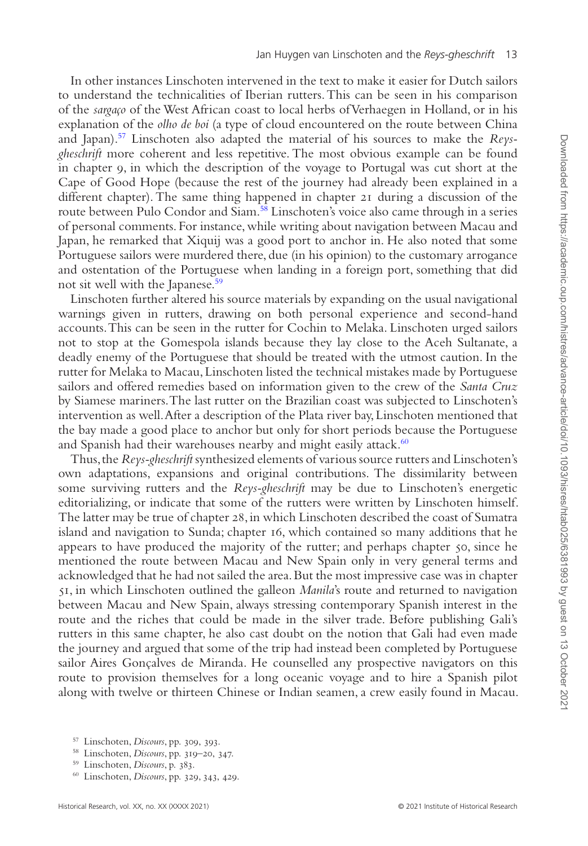In other instances Linschoten intervened in the text to make it easier for Dutch sailors to understand the technicalities of Iberian rutters. This can be seen in his comparison of the *sargaço* of the West African coast to local herbs of Verhaegen in Holland, or in his explanation of the *olho de boi* (a type of cloud encountered on the route between China and Japan)[.57](#page-12-0) Linschoten also adapted the material of his sources to make the *Reysgheschrift* more coherent and less repetitive. The most obvious example can be found in chapter 9, in which the description of the voyage to Portugal was cut short at the Cape of Good Hope (because the rest of the journey had already been explained in a different chapter). The same thing happened in chapter 21 during a discussion of the route between Pulo Condor and Siam.<sup>[58](#page-12-1)</sup> Linschoten's voice also came through in a series of personal comments. For instance, while writing about navigation between Macau and Japan, he remarked that Xiquij was a good port to anchor in. He also noted that some Portuguese sailors were murdered there, due (in his opinion) to the customary arrogance and ostentation of the Portuguese when landing in a foreign port, something that did not sit well with the Japanese.<sup>59</sup>

Linschoten further altered his source materials by expanding on the usual navigational warnings given in rutters, drawing on both personal experience and second-hand accounts. This can be seen in the rutter for Cochin to Melaka. Linschoten urged sailors not to stop at the Gomespola islands because they lay close to the Aceh Sultanate, a deadly enemy of the Portuguese that should be treated with the utmost caution. In the rutter for Melaka to Macau, Linschoten listed the technical mistakes made by Portuguese sailors and offered remedies based on information given to the crew of the *Santa Cruz* by Siamese mariners. The last rutter on the Brazilian coast was subjected to Linschoten's intervention as well. After a description of the Plata river bay, Linschoten mentioned that the bay made a good place to anchor but only for short periods because the Portuguese and Spanish had their warehouses nearby and might easily attack.<sup>[60](#page-12-3)</sup>

Thus, the *Reys-gheschrift* synthesized elements of various source rutters and Linschoten's own adaptations, expansions and original contributions. The dissimilarity between some surviving rutters and the *Reys-gheschrift* may be due to Linschoten's energetic editorializing, or indicate that some of the rutters were written by Linschoten himself. The latter may be true of chapter 28, in which Linschoten described the coast of Sumatra island and navigation to Sunda; chapter 16, which contained so many additions that he appears to have produced the majority of the rutter; and perhaps chapter 50, since he mentioned the route between Macau and New Spain only in very general terms and acknowledged that he had not sailed the area. But the most impressive case was in chapter 51, in which Linschoten outlined the galleon *Manila*'s route and returned to navigation between Macau and New Spain, always stressing contemporary Spanish interest in the route and the riches that could be made in the silver trade. Before publishing Gali's rutters in this same chapter, he also cast doubt on the notion that Gali had even made the journey and argued that some of the trip had instead been completed by Portuguese sailor Aires Gonçalves de Miranda. He counselled any prospective navigators on this route to provision themselves for a long oceanic voyage and to hire a Spanish pilot along with twelve or thirteen Chinese or Indian seamen, a crew easily found in Macau.

<span id="page-12-0"></span><sup>57</sup> Linschoten, *Discours*, pp. 309, 393.

<span id="page-12-1"></span><sup>58</sup> Linschoten, *Discours*, pp. 319–20, 347.

<span id="page-12-2"></span><sup>59</sup> Linschoten, *Discours*, p. 383.

<span id="page-12-3"></span><sup>60</sup> Linschoten, *Discours*, pp. 329, 343, 429.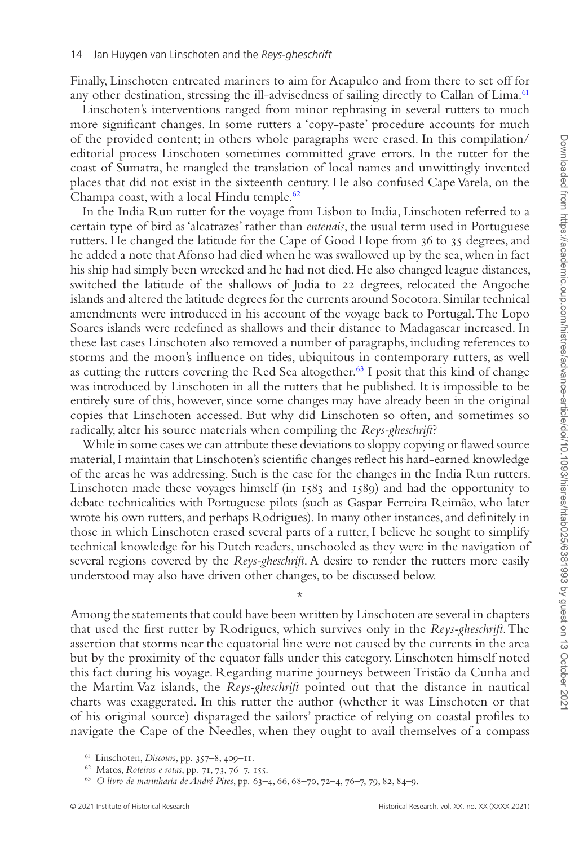Downloaded from https://academic.oup.com/histres/advance-article/doi/10.1093/hisres/htab025/6381993 by guest on 13 October 202 Downloaded from https://academic.oup.com/histres/advance-article/doi/10.1093/hisres/htab025/6381993 by guest on 13 October 2021

Finally, Linschoten entreated mariners to aim for Acapulco and from there to set off for any other destination, stressing the ill-advisedness of sailing directly to Callan of Lima.<sup>61</sup>

Linschoten's interventions ranged from minor rephrasing in several rutters to much more significant changes. In some rutters a 'copy-paste' procedure accounts for much of the provided content; in others whole paragraphs were erased. In this compilation/ editorial process Linschoten sometimes committed grave errors. In the rutter for the coast of Sumatra, he mangled the translation of local names and unwittingly invented places that did not exist in the sixteenth century. He also confused Cape Varela, on the Champa coast, with a local Hindu temple[.62](#page-13-1)

In the India Run rutter for the voyage from Lisbon to India, Linschoten referred to a certain type of bird as 'alcatrazes' rather than *entenais*, the usual term used in Portuguese rutters. He changed the latitude for the Cape of Good Hope from 36 to 35 degrees, and he added a note that Afonso had died when he was swallowed up by the sea, when in fact his ship had simply been wrecked and he had not died. He also changed league distances, switched the latitude of the shallows of Judia to 22 degrees, relocated the Angoche islands and altered the latitude degrees for the currents around Socotora. Similar technical amendments were introduced in his account of the voyage back to Portugal. The Lopo Soares islands were redefined as shallows and their distance to Madagascar increased. In these last cases Linschoten also removed a number of paragraphs, including references to storms and the moon's influence on tides, ubiquitous in contemporary rutters, as well as cutting the rutters covering the Red Sea altogether.<sup>[63](#page-13-2)</sup> I posit that this kind of change was introduced by Linschoten in all the rutters that he published. It is impossible to be entirely sure of this, however, since some changes may have already been in the original copies that Linschoten accessed. But why did Linschoten so often, and sometimes so radically, alter his source materials when compiling the *Reys-gheschrift*?

While in some cases we can attribute these deviations to sloppy copying or flawed source material, I maintain that Linschoten's scientific changes reflect his hard-earned knowledge of the areas he was addressing. Such is the case for the changes in the India Run rutters. Linschoten made these voyages himself (in 1583 and 1589) and had the opportunity to debate technicalities with Portuguese pilots (such as Gaspar Ferreira Reimão, who later wrote his own rutters, and perhaps Rodrigues). In many other instances, and definitely in those in which Linschoten erased several parts of a rutter, I believe he sought to simplify technical knowledge for his Dutch readers, unschooled as they were in the navigation of several regions covered by the *Reys-gheschrift*. A desire to render the rutters more easily understood may also have driven other changes, to be discussed below.

\*

Among the statements that could have been written by Linschoten are several in chapters that used the first rutter by Rodrigues, which survives only in the *Reys-gheschrift*. The assertion that storms near the equatorial line were not caused by the currents in the area but by the proximity of the equator falls under this category. Linschoten himself noted this fact during his voyage. Regarding marine journeys between Tristão da Cunha and the Martim Vaz islands, the *Reys-gheschrift* pointed out that the distance in nautical charts was exaggerated. In this rutter the author (whether it was Linschoten or that of his original source) disparaged the sailors' practice of relying on coastal profiles to navigate the Cape of the Needles, when they ought to avail themselves of a compass

<span id="page-13-0"></span><sup>61</sup> Linschoten, *Discours*, pp. 357–8, 409–11.

<span id="page-13-1"></span><sup>62</sup> Matos, *Roteiros e rotas*, pp. 71, 73, 76–7, 155.

<span id="page-13-2"></span><sup>63</sup> *O livro de marinharia de André Pires*, pp. 63–4, 66, 68–70, 72–4, 76–7, 79, 82, 84–9.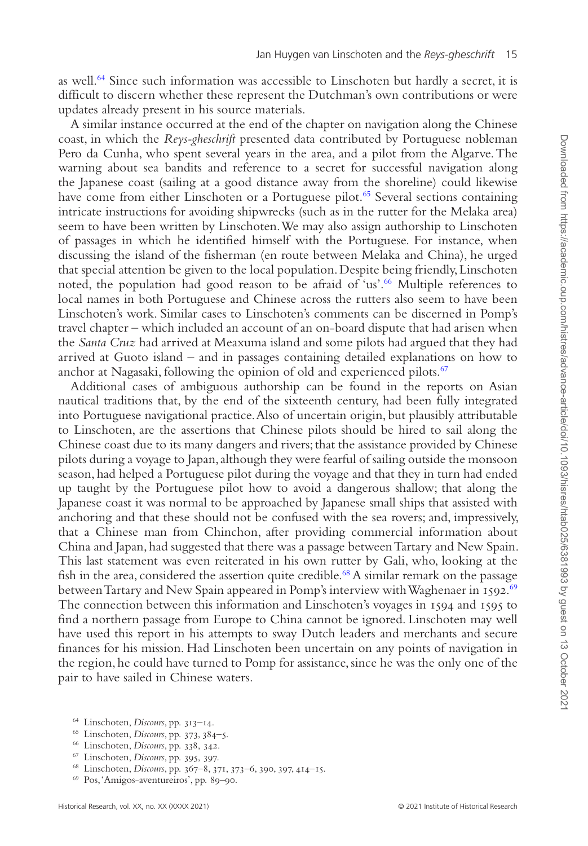as well[.64](#page-14-0) Since such information was accessible to Linschoten but hardly a secret, it is difficult to discern whether these represent the Dutchman's own contributions or were updates already present in his source materials.

A similar instance occurred at the end of the chapter on navigation along the Chinese coast, in which the *Reys-gheschrift* presented data contributed by Portuguese nobleman Pero da Cunha, who spent several years in the area, and a pilot from the Algarve. The warning about sea bandits and reference to a secret for successful navigation along the Japanese coast (sailing at a good distance away from the shoreline) could likewise have come from either Linschoten or a Portuguese pilot.<sup>65</sup> Several sections containing intricate instructions for avoiding shipwrecks (such as in the rutter for the Melaka area) seem to have been written by Linschoten. We may also assign authorship to Linschoten of passages in which he identified himself with the Portuguese. For instance, when discussing the island of the fisherman (en route between Melaka and China), he urged that special attention be given to the local population. Despite being friendly, Linschoten noted, the population had good reason to be afraid of 'us'.[66](#page-14-2) Multiple references to local names in both Portuguese and Chinese across the rutters also seem to have been Linschoten's work. Similar cases to Linschoten's comments can be discerned in Pomp's travel chapter – which included an account of an on-board dispute that had arisen when the *Santa Cruz* had arrived at Meaxuma island and some pilots had argued that they had arrived at Guoto island – and in passages containing detailed explanations on how to anchor at Nagasaki, following the opinion of old and experienced pilots.<sup>67</sup>

Additional cases of ambiguous authorship can be found in the reports on Asian nautical traditions that, by the end of the sixteenth century, had been fully integrated into Portuguese navigational practice. Also of uncertain origin, but plausibly attributable to Linschoten, are the assertions that Chinese pilots should be hired to sail along the Chinese coast due to its many dangers and rivers; that the assistance provided by Chinese pilots during a voyage to Japan, although they were fearful of sailing outside the monsoon season, had helped a Portuguese pilot during the voyage and that they in turn had ended up taught by the Portuguese pilot how to avoid a dangerous shallow; that along the Japanese coast it was normal to be approached by Japanese small ships that assisted with anchoring and that these should not be confused with the sea rovers; and, impressively, that a Chinese man from Chinchon, after providing commercial information about China and Japan, had suggested that there was a passage between Tartary and New Spain. This last statement was even reiterated in his own rutter by Gali, who, looking at the fish in the area, considered the assertion quite credible.<sup>68</sup> A similar remark on the passage between Tartary and New Spain appeared in Pomp's interview with Waghenaer in 1592[.69](#page-14-5) The connection between this information and Linschoten's voyages in 1594 and 1595 to find a northern passage from Europe to China cannot be ignored. Linschoten may well have used this report in his attempts to sway Dutch leaders and merchants and secure finances for his mission. Had Linschoten been uncertain on any points of navigation in the region, he could have turned to Pomp for assistance, since he was the only one of the pair to have sailed in Chinese waters.

- <span id="page-14-0"></span><sup>64</sup> Linschoten, *Discours*, pp. 313–14.
- <span id="page-14-1"></span><sup>65</sup> Linschoten, *Discours*, pp. 373, 384–5.
- <span id="page-14-2"></span><sup>66</sup> Linschoten, *Discours*, pp. 338, 342.
- <span id="page-14-3"></span><sup>67</sup> Linschoten, *Discours*, pp. 395, 397.
- <span id="page-14-4"></span><sup>68</sup> Linschoten, *Discours*, pp. 367–8, 371, 373–6, 390, 397, 414–15.
- <span id="page-14-5"></span><sup>69</sup> Pos, 'Amigos-aventureiros', pp. 89–90.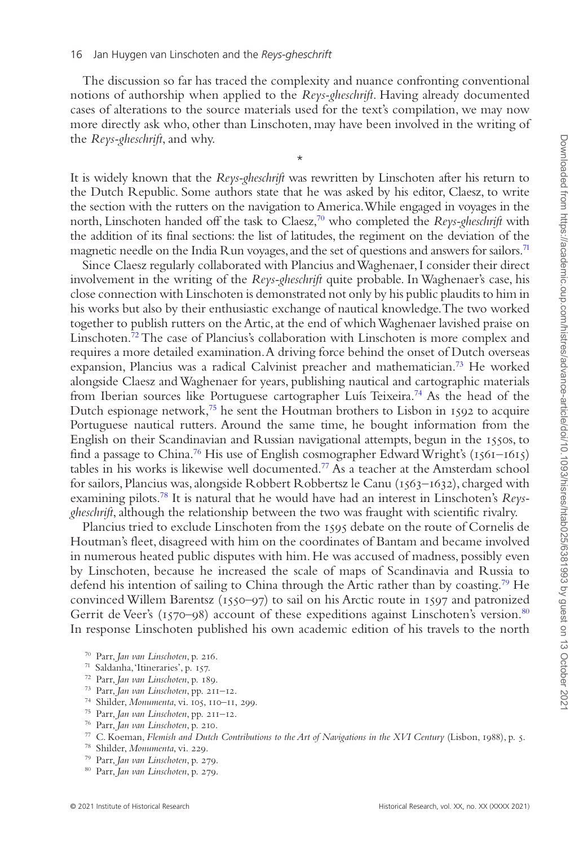The discussion so far has traced the complexity and nuance confronting conventional notions of authorship when applied to the *Reys-gheschrift*. Having already documented cases of alterations to the source materials used for the text's compilation, we may now more directly ask who, other than Linschoten, may have been involved in the writing of the *Reys-gheschrift*, and why.

It is widely known that the *Reys-gheschrift* was rewritten by Linschoten after his return to the Dutch Republic. Some authors state that he was asked by his editor, Claesz, to write the section with the rutters on the navigation to America. While engaged in voyages in the north, Linschoten handed off the task to Claesz[,70](#page-15-0) who completed the *Reys-gheschrift* with the addition of its final sections: the list of latitudes, the regiment on the deviation of the magnetic needle on the India Run voyages, and the set of questions and answers for sailors.<sup>71</sup>

\*

Since Claesz regularly collaborated with Plancius and Waghenaer, I consider their direct involvement in the writing of the *Reys-gheschrift* quite probable. In Waghenaer's case, his close connection with Linschoten is demonstrated not only by his public plaudits to him in his works but also by their enthusiastic exchange of nautical knowledge. The two worked together to publish rutters on the Artic, at the end of which Waghenaer lavished praise on Linschoten.<sup>72</sup> The case of Plancius's collaboration with Linschoten is more complex and requires a more detailed examination. A driving force behind the onset of Dutch overseas expansion, Plancius was a radical Calvinist preacher and mathematician.[73](#page-15-3) He worked alongside Claesz and Waghenaer for years, publishing nautical and cartographic materials from Iberian sources like Portuguese cartographer Luís Teixeira.[74](#page-15-4) As the head of the Dutch espionage network, $75$  he sent the Houtman brothers to Lisbon in 1592 to acquire Portuguese nautical rutters. Around the same time, he bought information from the English on their Scandinavian and Russian navigational attempts, begun in the 1550s, to find a passage to China.<sup>76</sup> His use of English cosmographer Edward Wright's ( $1561-1615$ ) tables in his works is likewise well documented[.77](#page-15-7) As a teacher at the Amsterdam school for sailors, Plancius was, alongside Robbert Robbertsz le Canu (1563–1632), charged with examining pilots[.78](#page-15-8) It is natural that he would have had an interest in Linschoten's *Reysgheschrift*, although the relationship between the two was fraught with scientific rivalry.

Plancius tried to exclude Linschoten from the 1595 debate on the route of Cornelis de Houtman's fleet, disagreed with him on the coordinates of Bantam and became involved in numerous heated public disputes with him. He was accused of madness, possibly even by Linschoten, because he increased the scale of maps of Scandinavia and Russia to defend his intention of sailing to China through the Artic rather than by coasting.[79](#page-15-9) He convinced Willem Barentsz (1550–97) to sail on his Arctic route in 1597 and patronized Gerrit de Veer's  $(1570-98)$  account of these expeditions against Linschoten's version.<sup>80</sup> In response Linschoten published his own academic edition of his travels to the north

- <span id="page-15-1"></span><sup>71</sup> Saldanha, 'Itineraries', p. 157.
- <span id="page-15-2"></span><sup>72</sup> Parr, *Jan van Linschoten*, p. 189.
- <span id="page-15-3"></span><sup>73</sup> Parr, *Jan van Linschoten*, pp. 211–12.
- <span id="page-15-4"></span><sup>74</sup> Shilder, *Monumenta*, vi. 105, 110–11, 299.
- <span id="page-15-5"></span><sup>75</sup> Parr, *Jan van Linschoten*, pp. 211–12.
- <span id="page-15-6"></span><sup>76</sup> Parr, *Jan van Linschoten*, p. 210.
- <span id="page-15-7"></span><sup>77</sup> C. Koeman, *Flemish and Dutch Contributions to the Art of Navigations in the XVI Century* (Lisbon, 1988), p. 5.
- <span id="page-15-8"></span><sup>78</sup> Shilder, *Monumenta*, vi. 229.
- <span id="page-15-9"></span><sup>79</sup> Parr, *Jan van Linschoten*, p. 279.
- <span id="page-15-10"></span><sup>80</sup> Parr, *Jan van Linschoten*, p. 279.

<span id="page-15-0"></span><sup>70</sup> Parr, *Jan van Linschoten*, p. 216.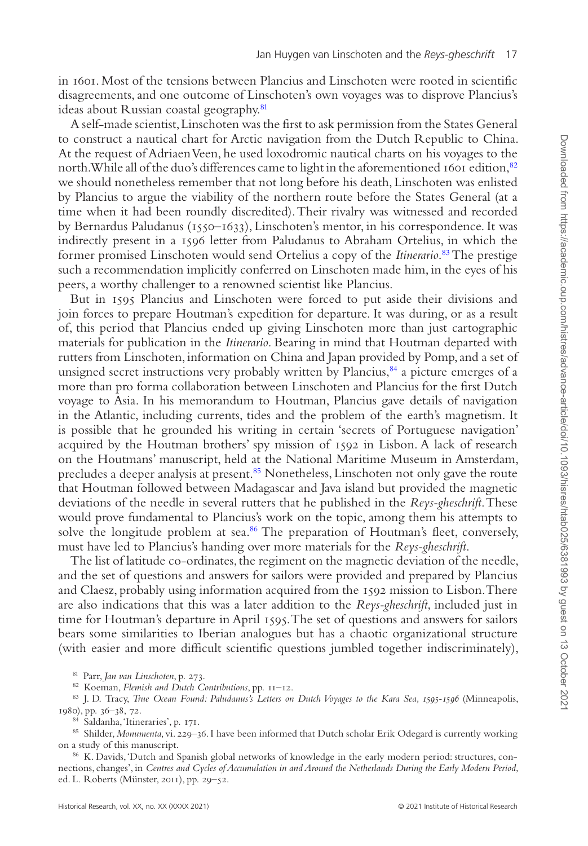in 1601. Most of the tensions between Plancius and Linschoten were rooted in scientific disagreements, and one outcome of Linschoten's own voyages was to disprove Plancius's ideas about Russian coastal geography.<sup>[81](#page-16-0)</sup>

A self-made scientist, Linschoten was the first to ask permission from the States General to construct a nautical chart for Arctic navigation from the Dutch Republic to China. At the request of Adriaen Veen, he used loxodromic nautical charts on his voyages to the north. While all of the duo's differences came to light in the aforementioned 1601 edition, <sup>82</sup> we should nonetheless remember that not long before his death, Linschoten was enlisted by Plancius to argue the viability of the northern route before the States General (at a time when it had been roundly discredited). Their rivalry was witnessed and recorded by Bernardus Paludanus (1550–1633), Linschoten's mentor, in his correspondence. It was indirectly present in a 1596 letter from Paludanus to Abraham Ortelius, in which the former promised Linschoten would send Ortelius a copy of the *Itinerario*. [83](#page-16-2) The prestige such a recommendation implicitly conferred on Linschoten made him, in the eyes of his peers, a worthy challenger to a renowned scientist like Plancius.

But in 1595 Plancius and Linschoten were forced to put aside their divisions and join forces to prepare Houtman's expedition for departure. It was during, or as a result of, this period that Plancius ended up giving Linschoten more than just cartographic materials for publication in the *Itinerario*. Bearing in mind that Houtman departed with rutters from Linschoten, information on China and Japan provided by Pomp, and a set of unsigned secret instructions very probably written by Plancius, $^{84}$  a picture emerges of a more than pro forma collaboration between Linschoten and Plancius for the first Dutch voyage to Asia. In his memorandum to Houtman, Plancius gave details of navigation in the Atlantic, including currents, tides and the problem of the earth's magnetism. It is possible that he grounded his writing in certain 'secrets of Portuguese navigation' acquired by the Houtman brothers' spy mission of 1592 in Lisbon. A lack of research on the Houtmans' manuscript, held at the National Maritime Museum in Amsterdam, precludes a deeper analysis at present.[85](#page-16-4) Nonetheless, Linschoten not only gave the route that Houtman followed between Madagascar and Java island but provided the magnetic deviations of the needle in several rutters that he published in the *Reys-gheschrift*. These would prove fundamental to Plancius's work on the topic, among them his attempts to solve the longitude problem at sea. $86$  The preparation of Houtman's fleet, conversely, must have led to Plancius's handing over more materials for the *Reys-gheschrift*.

The list of latitude co-ordinates, the regiment on the magnetic deviation of the needle, and the set of questions and answers for sailors were provided and prepared by Plancius and Claesz, probably using information acquired from the 1592 mission to Lisbon. There are also indications that this was a later addition to the *Reys-gheschrift*, included just in time for Houtman's departure in April 1595. The set of questions and answers for sailors bears some similarities to Iberian analogues but has a chaotic organizational structure (with easier and more difficult scientific questions jumbled together indiscriminately),

<span id="page-16-0"></span><sup>81</sup> Parr, *Jan van Linschoten*, p. 273.

<span id="page-16-2"></span><span id="page-16-1"></span><sup>82</sup> Koeman, *Flemish and Dutch Contributions*, pp. 11–12.

83 J. D. Tracy, *True Ocean Found: Paludanus's Letters on Dutch Voyages to the Kara Sea, 1595-1596* (Minneapolis, 1980), pp. 36–38, 72.

<span id="page-16-4"></span><span id="page-16-3"></span><sup>84</sup> Saldanha, 'Itineraries', p. 171.

85 Shilder, *Monumenta*, vi. 229-36. I have been informed that Dutch scholar Erik Odegard is currently working on a study of this manuscript.

<span id="page-16-5"></span>86 K. Davids, 'Dutch and Spanish global networks of knowledge in the early modern period: structures, connections, changes', in *Centres and Cycles of Accumulation in and Around the Netherlands During the Early Modern Period*, ed. L. Roberts (Münster, 2011), pp. 29–52.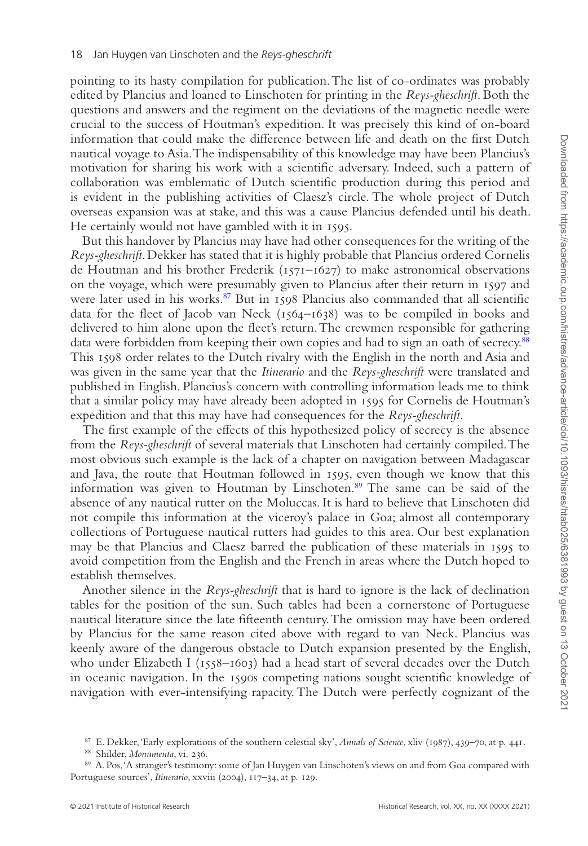pointing to its hasty compilation for publication. The list of co-ordinates was probably edited by Plancius and loaned to Linschoten for printing in the *Reys-gheschrift*. Both the questions and answers and the regiment on the deviations of the magnetic needle were crucial to the success of Houtman's expedition. It was precisely this kind of on-board information that could make the difference between life and death on the first Dutch nautical voyage to Asia. The indispensability of this knowledge may have been Plancius's motivation for sharing his work with a scientific adversary. Indeed, such a pattern of collaboration was emblematic of Dutch scientific production during this period and is evident in the publishing activities of Claesz's circle. The whole project of Dutch overseas expansion was at stake, and this was a cause Plancius defended until his death. He certainly would not have gambled with it in 1595.

But this handover by Plancius may have had other consequences for the writing of the *Reys-gheschrift*. Dekker has stated that it is highly probable that Plancius ordered Cornelis de Houtman and his brother Frederik (1571–1627) to make astronomical observations on the voyage, which were presumably given to Plancius after their return in 1597 and were later used in his works. $87$  But in 1598 Plancius also commanded that all scientific data for the fleet of Jacob van Neck (1564–1638) was to be compiled in books and delivered to him alone upon the fleet's return. The crewmen responsible for gathering data were forbidden from keeping their own copies and had to sign an oath of secrecy.<sup>88</sup> This 1598 order relates to the Dutch rivalry with the English in the north and Asia and was given in the same year that the *Itinerario* and the *Reys-gheschrift* were translated and published in English. Plancius's concern with controlling information leads me to think that a similar policy may have already been adopted in 1595 for Cornelis de Houtman's expedition and that this may have had consequences for the *Reys-gheschrift*.

The first example of the effects of this hypothesized policy of secrecy is the absence from the *Reys-gheschrift* of several materials that Linschoten had certainly compiled. The most obvious such example is the lack of a chapter on navigation between Madagascar and Java, the route that Houtman followed in 1595, even though we know that this information was given to Houtman by Linschoten[.89](#page-17-2) The same can be said of the absence of any nautical rutter on the Moluccas. It is hard to believe that Linschoten did not compile this information at the viceroy's palace in Goa; almost all contemporary collections of Portuguese nautical rutters had guides to this area. Our best explanation may be that Plancius and Claesz barred the publication of these materials in 1595 to avoid competition from the English and the French in areas where the Dutch hoped to establish themselves.

Another silence in the *Reys-gheschrift* that is hard to ignore is the lack of declination tables for the position of the sun. Such tables had been a cornerstone of Portuguese nautical literature since the late fifteenth century. The omission may have been ordered by Plancius for the same reason cited above with regard to van Neck. Plancius was keenly aware of the dangerous obstacle to Dutch expansion presented by the English, who under Elizabeth I (1558–1603) had a head start of several decades over the Dutch in oceanic navigation. In the 1590s competing nations sought scientific knowledge of navigation with ever-intensifying rapacity. The Dutch were perfectly cognizant of the

<span id="page-17-0"></span><sup>87</sup> E. Dekker, 'Early explorations of the southern celestial sky', *Annals of Science*, xliv (1987), 439–70, at p. 441.

<span id="page-17-2"></span><span id="page-17-1"></span><sup>88</sup> Shilder, *Monumenta*, vi. 236.

<sup>89</sup> A. Pos, 'A stranger's testimony: some of Jan Huygen van Linschoten's views on and from Goa compared with Portuguese sources', *Itinerario*, xxviii (2004), 117–34, at p. 129.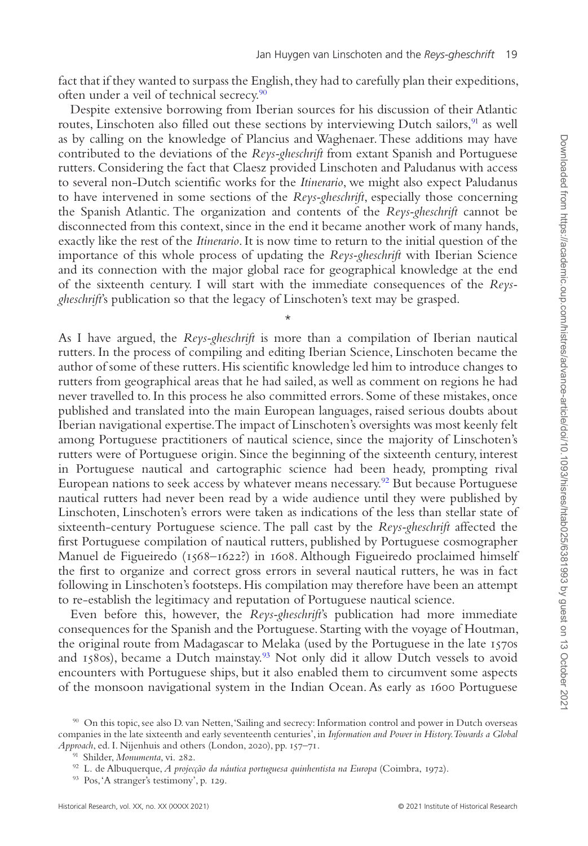fact that if they wanted to surpass the English, they had to carefully plan their expeditions, often under a veil of technical secrecy.<sup>[90](#page-18-0)</sup>

Despite extensive borrowing from Iberian sources for his discussion of their Atlantic routes, Linschoten also filled out these sections by interviewing Dutch sailors,<sup>[91](#page-18-1)</sup> as well as by calling on the knowledge of Plancius and Waghenaer. These additions may have contributed to the deviations of the *Reys-gheschrift* from extant Spanish and Portuguese rutters. Considering the fact that Claesz provided Linschoten and Paludanus with access to several non-Dutch scientific works for the *Itinerario*, we might also expect Paludanus to have intervened in some sections of the *Reys-gheschrift*, especially those concerning the Spanish Atlantic. The organization and contents of the *Reys-gheschrift* cannot be disconnected from this context, since in the end it became another work of many hands, exactly like the rest of the *Itinerario*. It is now time to return to the initial question of the importance of this whole process of updating the *Reys-gheschrift* with Iberian Science and its connection with the major global race for geographical knowledge at the end of the sixteenth century. I will start with the immediate consequences of the *Reysgheschrift*'s publication so that the legacy of Linschoten's text may be grasped.

\*

As I have argued, the *Reys-gheschrift* is more than a compilation of Iberian nautical rutters. In the process of compiling and editing Iberian Science, Linschoten became the author of some of these rutters. His scientific knowledge led him to introduce changes to rutters from geographical areas that he had sailed, as well as comment on regions he had never travelled to. In this process he also committed errors. Some of these mistakes, once published and translated into the main European languages, raised serious doubts about Iberian navigational expertise. The impact of Linschoten's oversights was most keenly felt among Portuguese practitioners of nautical science, since the majority of Linschoten's rutters were of Portuguese origin. Since the beginning of the sixteenth century, interest in Portuguese nautical and cartographic science had been heady, prompting rival European nations to seek access by whatever means necessary.<sup>92</sup> But because Portuguese nautical rutters had never been read by a wide audience until they were published by Linschoten, Linschoten's errors were taken as indications of the less than stellar state of sixteenth-century Portuguese science. The pall cast by the *Reys-gheschrift* affected the first Portuguese compilation of nautical rutters, published by Portuguese cosmographer Manuel de Figueiredo (1568–1622?) in 1608. Although Figueiredo proclaimed himself the first to organize and correct gross errors in several nautical rutters, he was in fact following in Linschoten's footsteps. His compilation may therefore have been an attempt to re-establish the legitimacy and reputation of Portuguese nautical science.

Even before this, however, the *Reys-gheschrift*'s publication had more immediate consequences for the Spanish and the Portuguese. Starting with the voyage of Houtman, the original route from Madagascar to Melaka (used by the Portuguese in the late 1570s and  $1580s$ ), became a Dutch mainstay.<sup>93</sup> Not only did it allow Dutch vessels to avoid encounters with Portuguese ships, but it also enabled them to circumvent some aspects of the monsoon navigational system in the Indian Ocean. As early as 1600 Portuguese

<span id="page-18-0"></span><sup>90</sup> On this topic, see also D. van Netten, 'Sailing and secrecy: Information control and power in Dutch overseas companies in the late sixteenth and early seventeenth centuries', in *Information and Power in History. Towards a Global Approach*, ed. I. Nijenhuis and others (London, 2020), pp. 157–71.

<span id="page-18-1"></span><sup>91</sup> Shilder, *Monumenta*, vi. 282.

<span id="page-18-2"></span><sup>92</sup> L. de Albuquerque, *A projecção da náutica portuguesa quinhentista na Europa* (Coimbra, 1972).

<span id="page-18-3"></span><sup>93</sup> Pos, 'A stranger's testimony', p. 129.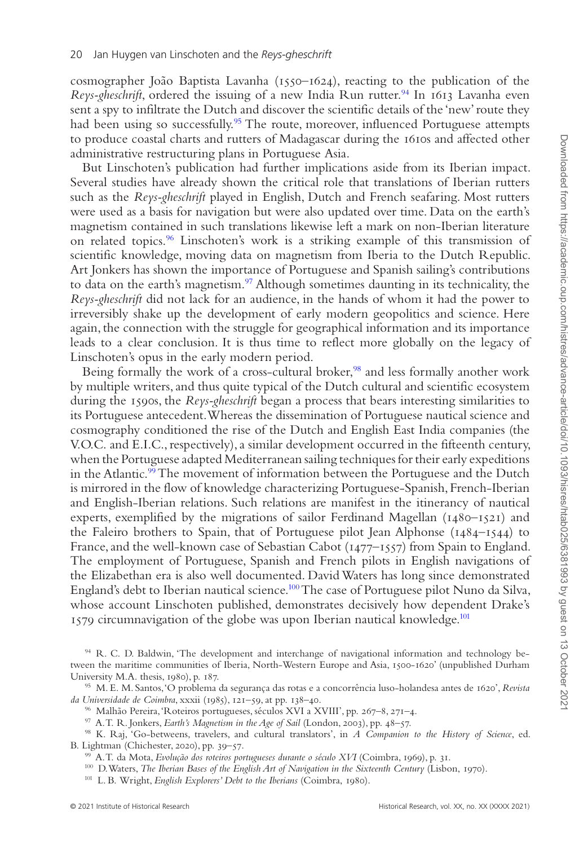cosmographer João Baptista Lavanha  $(1550 - 1624)$ , reacting to the publication of the *Reys-gheschrift*, ordered the issuing of a new India Run rutter.<sup>[94](#page-19-0)</sup> In 1613 Lavanha even sent a spy to infiltrate the Dutch and discover the scientific details of the 'new' route they had been using so successfully.<sup>[95](#page-19-1)</sup> The route, moreover, influenced Portuguese attempts to produce coastal charts and rutters of Madagascar during the 1610s and affected other administrative restructuring plans in Portuguese Asia.

But Linschoten's publication had further implications aside from its Iberian impact. Several studies have already shown the critical role that translations of Iberian rutters such as the *Reys-gheschrift* played in English, Dutch and French seafaring. Most rutters were used as a basis for navigation but were also updated over time. Data on the earth's magnetism contained in such translations likewise left a mark on non-Iberian literature on related topics.[96](#page-19-2) Linschoten's work is a striking example of this transmission of scientific knowledge, moving data on magnetism from Iberia to the Dutch Republic. Art Jonkers has shown the importance of Portuguese and Spanish sailing's contributions to data on the earth's magnetism.<sup>97</sup> Although sometimes daunting in its technicality, the *Reys-gheschrift* did not lack for an audience, in the hands of whom it had the power to irreversibly shake up the development of early modern geopolitics and science. Here again, the connection with the struggle for geographical information and its importance leads to a clear conclusion. It is thus time to reflect more globally on the legacy of Linschoten's opus in the early modern period.

Being formally the work of a cross-cultural broker,<sup>98</sup> and less formally another work by multiple writers, and thus quite typical of the Dutch cultural and scientific ecosystem during the 1590s, the *Reys-gheschrift* began a process that bears interesting similarities to its Portuguese antecedent. Whereas the dissemination of Portuguese nautical science and cosmography conditioned the rise of the Dutch and English East India companies (the V.O.C. and E.I.C., respectively), a similar development occurred in the fifteenth century, when the Portuguese adapted Mediterranean sailing techniques for their early expeditions in the Atlantic.<sup>[99](#page-19-5)</sup> The movement of information between the Portuguese and the Dutch is mirrored in the flow of knowledge characterizing Portuguese-Spanish, French-Iberian and English-Iberian relations. Such relations are manifest in the itinerancy of nautical experts, exemplified by the migrations of sailor Ferdinand Magellan (1480–1521) and the Faleiro brothers to Spain, that of Portuguese pilot Jean Alphonse ( $1484-1544$ ) to France, and the well-known case of Sebastian Cabot (1477–1557) from Spain to England. The employment of Portuguese, Spanish and French pilots in English navigations of the Elizabethan era is also well documented. David Waters has long since demonstrated England's debt to Iberian nautical science[.100](#page-19-6) The case of Portuguese pilot Nuno da Silva, whose account Linschoten published, demonstrates decisively how dependent Drake's 1579 circumnavigation of the globe was upon Iberian nautical knowledge.<sup>101</sup>

<span id="page-19-0"></span><sup>94</sup> R. C. D. Baldwin, 'The development and interchange of navigational information and technology between the maritime communities of Iberia, North-Western Europe and Asia, 1500-1620' (unpublished Durham University M.A. thesis, 1980), p. 187.

<span id="page-19-1"></span><sup>95</sup> M. E. M. Santos, 'O problema da segurança das rotas e a concorrência luso-holandesa antes de 1620', *Revista da Universidade de Coimbra*, xxxii (1985), 121–59, at pp. 138–40.

<span id="page-19-2"></span><sup>96</sup> Malhão Pereira, 'Roteiros portugueses, séculos XVI a XVIII', pp. 267–8, 271–4.

<span id="page-19-4"></span><span id="page-19-3"></span><sup>97</sup> A. T. R. Jonkers, *Earth's Magnetism in the Age of Sail* (London, 2003), pp. 48–57.

<sup>98</sup> K. Raj, 'Go-betweens, travelers, and cultural translators', in *A Companion to the History of Science*, ed. B. Lightman (Chichester, 2020), pp. 39–57.

<span id="page-19-6"></span><span id="page-19-5"></span><sup>99</sup> A. T. da Mota, *Evolução dos roteiros portugueses durante o século XVI* (Coimbra, 1969), p. 31.

<sup>&</sup>lt;sup>100</sup> D. Waters, *The Iberian Bases of the English Art of Navigation in the Sixteenth Century* (Lisbon, 1970).

<span id="page-19-7"></span><sup>101</sup> L. B. Wright, *English Explorers' Debt to the Iberians* (Coimbra, 1980).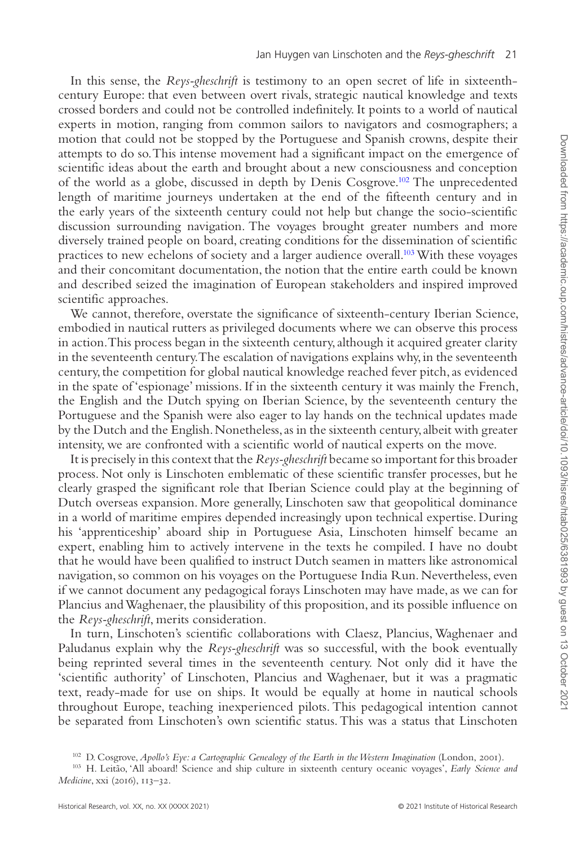In this sense, the *Reys-gheschrift* is testimony to an open secret of life in sixteenthcentury Europe: that even between overt rivals, strategic nautical knowledge and texts crossed borders and could not be controlled indefinitely. It points to a world of nautical experts in motion, ranging from common sailors to navigators and cosmographers; a motion that could not be stopped by the Portuguese and Spanish crowns, despite their attempts to do so. This intense movement had a significant impact on the emergence of scientific ideas about the earth and brought about a new consciousness and conception of the world as a globe, discussed in depth by Denis Cosgrove.[102](#page-20-0) The unprecedented length of maritime journeys undertaken at the end of the fifteenth century and in the early years of the sixteenth century could not help but change the socio-scientific discussion surrounding navigation. The voyages brought greater numbers and more diversely trained people on board, creating conditions for the dissemination of scientific practices to new echelons of society and a larger audience overall.[103](#page-20-1) With these voyages and their concomitant documentation, the notion that the entire earth could be known and described seized the imagination of European stakeholders and inspired improved scientific approaches.

We cannot, therefore, overstate the significance of sixteenth-century Iberian Science, embodied in nautical rutters as privileged documents where we can observe this process in action. This process began in the sixteenth century, although it acquired greater clarity in the seventeenth century. The escalation of navigations explains why, in the seventeenth century, the competition for global nautical knowledge reached fever pitch, as evidenced in the spate of 'espionage' missions. If in the sixteenth century it was mainly the French, the English and the Dutch spying on Iberian Science, by the seventeenth century the Portuguese and the Spanish were also eager to lay hands on the technical updates made by the Dutch and the English. Nonetheless, as in the sixteenth century, albeit with greater intensity, we are confronted with a scientific world of nautical experts on the move.

It is precisely in this context that the *Reys-gheschrift* became so important for this broader process. Not only is Linschoten emblematic of these scientific transfer processes, but he clearly grasped the significant role that Iberian Science could play at the beginning of Dutch overseas expansion. More generally, Linschoten saw that geopolitical dominance in a world of maritime empires depended increasingly upon technical expertise. During his 'apprenticeship' aboard ship in Portuguese Asia, Linschoten himself became an expert, enabling him to actively intervene in the texts he compiled. I have no doubt that he would have been qualified to instruct Dutch seamen in matters like astronomical navigation, so common on his voyages on the Portuguese India Run. Nevertheless, even if we cannot document any pedagogical forays Linschoten may have made, as we can for Plancius and Waghenaer, the plausibility of this proposition, and its possible influence on the *Reys-gheschrift*, merits consideration.

In turn, Linschoten's scientific collaborations with Claesz, Plancius, Waghenaer and Paludanus explain why the *Reys-gheschrift* was so successful, with the book eventually being reprinted several times in the seventeenth century. Not only did it have the 'scientific authority' of Linschoten, Plancius and Waghenaer, but it was a pragmatic text, ready-made for use on ships. It would be equally at home in nautical schools throughout Europe, teaching inexperienced pilots. This pedagogical intention cannot be separated from Linschoten's own scientific status. This was a status that Linschoten

<span id="page-20-1"></span><span id="page-20-0"></span><sup>&</sup>lt;sup>102</sup> D. Cosgrove, *Apollo's Eye: a Cartographic Genealogy of the Earth in the Western Imagination* (London, 2001).

<sup>103</sup> H. Leitão, 'All aboard! Science and ship culture in sixteenth century oceanic voyages', *Early Science and Medicine*, xxi (2016), 113–32.